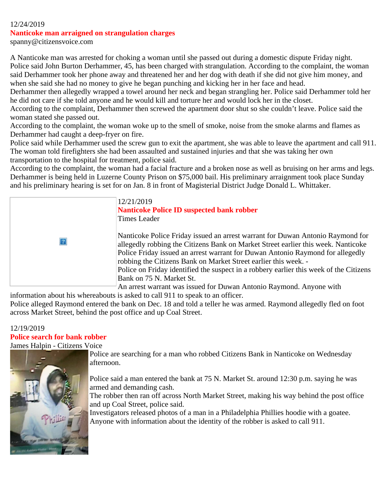### 12/24/2019

#### **Nanticoke man arraigned on strangulation charges**

spanny@citizensvoice.com

A Nanticoke man was arrested for choking a woman until she passed out during a domestic dispute Friday night. Police said John Burton Derhammer, 45, has been charged with strangulation. According to the complaint, the woman said Derhammer took her phone away and threatened her and her dog with death if she did not give him money, and when she said she had no money to give he began punching and kicking her in her face and head.

Derhammer then allegedly wrapped a towel around her neck and began strangling her. Police said Derhammer told her he did not care if she told anyone and he would kill and torture her and would lock her in the closet.

According to the complaint, Derhammer then screwed the apartment door shut so she couldn't leave. Police said the woman stated she passed out.

According to the complaint, the woman woke up to the smell of smoke, noise from the smoke alarms and flames as Derhammer had caught a deep-fryer on fire.

Police said while Derhammer used the screw gun to exit the apartment, she was able to leave the apartment and call 911. The woman told firefighters she had been assaulted and sustained injuries and that she was taking her own transportation to the hospital for treatment, police said.

According to the complaint, the woman had a facial fracture and a broken nose as well as bruising on her arms and legs. Derhammer is being held in Luzerne County Prison on \$75,000 bail. His preliminary arraignment took place Sunday and his preliminary hearing is set for on Jan. 8 in front of Magisterial District Judge Donald L. Whittaker.



An arrest warrant was issued for Duwan Antonio Raymond. Anyone with

information about his whereabouts is asked to call 911 to speak to an officer. Police alleged Raymond entered the bank on Dec. 18 and told a teller he was armed. Raymond allegedly fled on foot across Market Street, behind the post office and up Coal Street.

### 12/19/2019

### **Police search for bank robber**

James Halpin - Citizens Voice



Police are searching for a man who robbed Citizens Bank in Nanticoke on Wednesday afternoon.

Police said a man entered the bank at 75 N. Market St. around 12:30 p.m. saying he was armed and demanding cash.

The robber then ran off across North Market Street, making his way behind the post office and up Coal Street, police said.

Investigators released photos of a man in a Philadelphia Phillies hoodie with a goatee. Anyone with information about the identity of the robber is asked to call 911.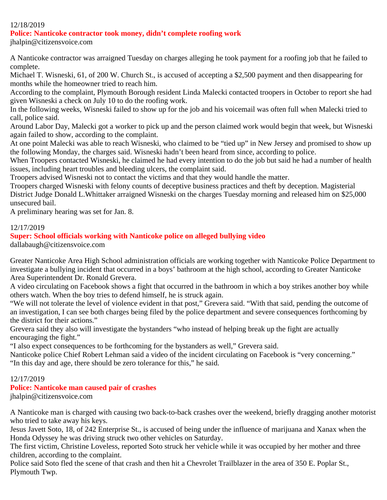### 12/18/2019

### **Police: Nanticoke contractor took money, didn't complete roofing work**

jhalpin@citizensvoice.com

A Nanticoke contractor was arraigned Tuesday on charges alleging he took payment for a roofing job that he failed to complete.

Michael T. Wisneski, 61, of 200 W. Church St., is accused of accepting a \$2,500 payment and then disappearing for months while the homeowner tried to reach him.

According to the complaint, Plymouth Borough resident Linda Malecki contacted troopers in October to report she had given Wisneski a check on July 10 to do the roofing work.

In the following weeks, Wisneski failed to show up for the job and his voicemail was often full when Malecki tried to call, police said.

Around Labor Day, Malecki got a worker to pick up and the person claimed work would begin that week, but Wisneski again failed to show, according to the complaint.

At one point Malecki was able to reach Wisneski, who claimed to be "tied up" in New Jersey and promised to show up the following Monday, the charges said. Wisneski hadn't been heard from since, according to police.

When Troopers contacted Wisneski, he claimed he had every intention to do the job but said he had a number of health issues, including heart troubles and bleeding ulcers, the complaint said.

Troopers advised Wisneski not to contact the victims and that they would handle the matter.

Troopers charged Wisneski with felony counts of deceptive business practices and theft by deception. Magisterial District Judge Donald L.Whittaker arraigned Wisneski on the charges Tuesday morning and released him on \$25,000 unsecured bail.

A preliminary hearing was set for Jan. 8.

### 12/17/2019

### **Super: School officials working with Nanticoke police on alleged bullying video**

dallabaugh@citizensvoice.com

Greater Nanticoke Area High School administration officials are working together with Nanticoke Police Department to investigate a bullying incident that occurred in a boys' bathroom at the high school, according to Greater Nanticoke Area Superintendent Dr. Ronald Grevera.

A video circulating on Facebook shows a fight that occurred in the bathroom in which a boy strikes another boy while others watch. When the boy tries to defend himself, he is struck again.

"We will not tolerate the level of violence evident in that post," Grevera said. "With that said, pending the outcome of an investigation, I can see both charges being filed by the police department and severe consequences forthcoming by the district for their actions."

Grevera said they also will investigate the bystanders "who instead of helping break up the fight are actually encouraging the fight."

"I also expect consequences to be forthcoming for the bystanders as well," Grevera said.

Nanticoke police Chief Robert Lehman said a video of the incident circulating on Facebook is "very concerning." "In this day and age, there should be zero tolerance for this," he said.

### 12/17/2019

### **Police: Nanticoke man caused pair of crashes**

jhalpin@citizensvoice.com

A Nanticoke man is charged with causing two back-to-back crashes over the weekend, briefly dragging another motorist who tried to take away his keys.

Jesus Javett Soto, 18, of 242 Enterprise St., is accused of being under the influence of marijuana and Xanax when the Honda Odyssey he was driving struck two other vehicles on Saturday.

The first victim, Christine Loveless, reported Soto struck her vehicle while it was occupied by her mother and three children, according to the complaint.

Police said Soto fled the scene of that crash and then hit a Chevrolet Trailblazer in the area of 350 E. Poplar St., Plymouth Twp.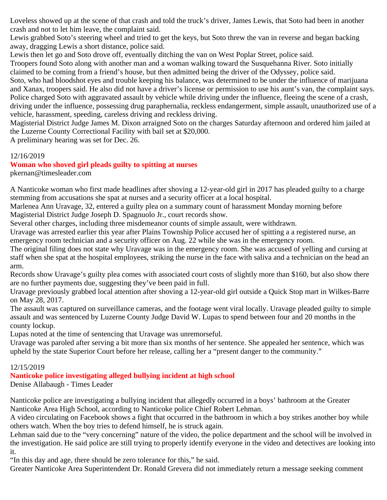Loveless showed up at the scene of that crash and told the truck's driver, James Lewis, that Soto had been in another crash and not to let him leave, the complaint said.

Lewis grabbed Soto's steering wheel and tried to get the keys, but Soto threw the van in reverse and began backing away, dragging Lewis a short distance, police said.

Lewis then let go and Soto drove off, eventually ditching the van on West Poplar Street, police said.

Troopers found Soto along with another man and a woman walking toward the Susquehanna River. Soto initially claimed to be coming from a friend's house, but then admitted being the driver of the Odyssey, police said.

Soto, who had bloodshot eyes and trouble keeping his balance, was determined to be under the influence of marijuana and Xanax, troopers said. He also did not have a driver's license or permission to use his aunt's van, the complaint says. Police charged Soto with aggravated assault by vehicle while driving under the influence, fleeing the scene of a crash, driving under the influence, possessing drug paraphernalia, reckless endangerment, simple assault, unauthorized use of a vehicle, harassment, speeding, careless driving and reckless driving.

Magisterial District Judge James M. Dixon arraigned Soto on the charges Saturday afternoon and ordered him jailed at the Luzerne County Correctional Facility with bail set at \$20,000.

A preliminary hearing was set for Dec. 26.

### 12/16/2019

## **Woman who shoved girl pleads guilty to spitting at nurses**

pkernan@timesleader.com

A Nanticoke woman who first made headlines after shoving a 12-year-old girl in 2017 has pleaded guilty to a charge stemming from accusations she spat at nurses and a security officer at a local hospital.

Marlenea Ann Uravage, 32, entered a guilty plea on a summary count of harassment Monday morning before Magisterial District Judge Joseph D. Spagnuolo Jr., court records show.

Several other charges, including three misdemeanor counts of simple assault, were withdrawn.

Uravage was arrested earlier this year after Plains Township Police accused her of spitting a a registered nurse, an emergency room technician and a security officer on Aug. 22 while she was in the emergency room.

The original filing does not state why Uravage was in the emergency room. She was accused of yelling and cursing at staff when she spat at the hospital employees, striking the nurse in the face with saliva and a technician on the head an arm.

Records show Uravage's guilty plea comes with associated court costs of slightly more than \$160, but also show there are no further payments due, suggesting they've been paid in full.

Uravage previously grabbed local attention after shoving a 12-year-old girl outside a Quick Stop mart in Wilkes-Barre on May 28, 2017.

The assault was captured on surveillance cameras, and the footage went viral locally. Uravage pleaded guilty to simple assault and was sentenced by Luzerne County Judge David W. Lupas to spend between four and 20 months in the county lockup.

Lupas noted at the time of sentencing that Uravage was unremorseful.

Uravage was paroled after serving a bit more than six months of her sentence. She appealed her sentence, which was upheld by the state Superior Court before her release, calling her a "present danger to the community."

### 12/15/2019

## **Nanticoke police investigating alleged bullying incident at high school**

Denise Allabaugh - Times Leader

Nanticoke police are investigating a bullying incident that allegedly occurred in a boys' bathroom at the Greater Nanticoke Area High School, according to Nanticoke police Chief Robert Lehman.

A video circulating on Facebook shows a fight that occurred in the bathroom in which a boy strikes another boy while others watch. When the boy tries to defend himself, he is struck again.

Lehman said due to the "very concerning" nature of the video, the police department and the school will be involved in the investigation. He said police are still trying to properly identify everyone in the video and detectives are looking into it.

"In this day and age, there should be zero tolerance for this," he said.

Greater Nanticoke Area Superintendent Dr. Ronald Grevera did not immediately return a message seeking comment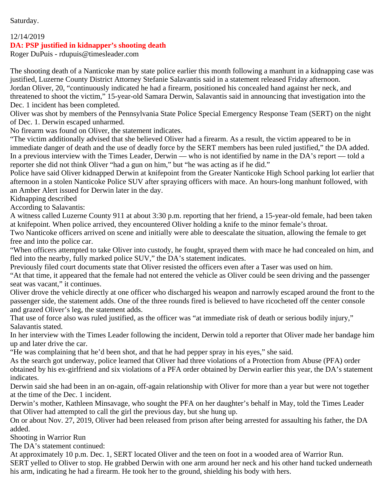Saturday.

## 12/14/2019 **DA: PSP justified in kidnapper's shooting death**

Roger DuPuis - rdupuis@timesleader.com

The shooting death of a Nanticoke man by state police earlier this month following a manhunt in a kidnapping case was justified, Luzerne County District Attorney Stefanie Salavantis said in a statement released Friday afternoon. Jordan Oliver, 20, "continuously indicated he had a firearm, positioned his concealed hand against her neck, and threatened to shoot the victim," 15-year-old Samara Derwin, Salavantis said in announcing that investigation into the Dec. 1 incident has been completed.

Oliver was shot by members of the Pennsylvania State Police Special Emergency Response Team (SERT) on the night of Dec. 1. Derwin escaped unharmed.

No firearm was found on Oliver, the statement indicates.

"The victim additionally advised that she believed Oliver had a firearm. As a result, the victim appeared to be in immediate danger of death and the use of deadly force by the SERT members has been ruled justified," the DA added. In a previous interview with the Times Leader, Derwin — who is not identified by name in the DA's report — told a reporter she did not think Oliver "had a gun on him," but "he was acting as if he did."

Police have said Oliver kidnapped Derwin at knifepoint from the Greater Nanticoke High School parking lot earlier that afternoon in a stolen Nanticoke Police SUV after spraying officers with mace. An hours-long manhunt followed, with an Amber Alert issued for Derwin later in the day.

Kidnapping described

According to Salavantis:

A witness called Luzerne County 911 at about 3:30 p.m. reporting that her friend, a 15-year-old female, had been taken at knifepoint. When police arrived, they encountered Oliver holding a knife to the minor female's throat.

Two Nanticoke officers arrived on scene and initially were able to deescalate the situation, allowing the female to get free and into the police car.

"When officers attempted to take Oliver into custody, he fought, sprayed them with mace he had concealed on him, and fled into the nearby, fully marked police SUV," the DA's statement indicates.

Previously filed court documents state that Oliver resisted the officers even after a Taser was used on him.

"At that time, it appeared that the female had not entered the vehicle as Oliver could be seen driving and the passenger seat was vacant," it continues.

Oliver drove the vehicle directly at one officer who discharged his weapon and narrowly escaped around the front to the passenger side, the statement adds. One of the three rounds fired is believed to have ricocheted off the center console and grazed Oliver's leg, the statement adds.

That use of force also was ruled justified, as the officer was "at immediate risk of death or serious bodily injury," Salavantis stated.

In her interview with the Times Leader following the incident, Derwin told a reporter that Oliver made her bandage him up and later drive the car.

"He was complaining that he'd been shot, and that he had pepper spray in his eyes," she said.

As the search got underway, police learned that Oliver had three violations of a Protection from Abuse (PFA) order obtained by his ex-girlfriend and six violations of a PFA order obtained by Derwin earlier this year, the DA's statement indicates.

Derwin said she had been in an on-again, off-again relationship with Oliver for more than a year but were not together at the time of the Dec. 1 incident.

Derwin's mother, Kathleen Minsavage, who sought the PFA on her daughter's behalf in May, told the Times Leader that Oliver had attempted to call the girl the previous day, but she hung up.

On or about Nov. 27, 2019, Oliver had been released from prison after being arrested for assaulting his father, the DA added.

Shooting in Warrior Run

The DA's statement continued:

At approximately 10 p.m. Dec. 1, SERT located Oliver and the teen on foot in a wooded area of Warrior Run. SERT yelled to Oliver to stop. He grabbed Derwin with one arm around her neck and his other hand tucked underneath his arm, indicating he had a firearm. He took her to the ground, shielding his body with hers.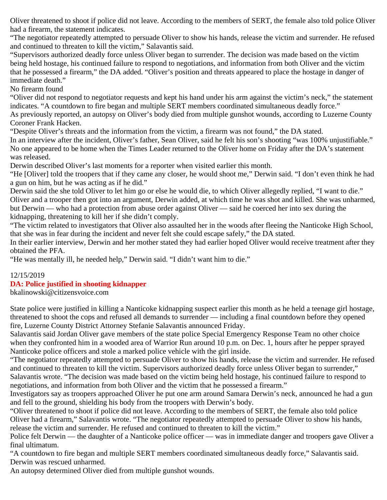Oliver threatened to shoot if police did not leave. According to the members of SERT, the female also told police Oliver had a firearm, the statement indicates.

"The negotiator repeatedly attempted to persuade Oliver to show his hands, release the victim and surrender. He refused and continued to threaten to kill the victim," Salavantis said.

"Supervisors authorized deadly force unless Oliver began to surrender. The decision was made based on the victim being held hostage, his continued failure to respond to negotiations, and information from both Oliver and the victim that he possessed a firearm," the DA added. "Oliver's position and threats appeared to place the hostage in danger of immediate death."

No firearm found

"Oliver did not respond to negotiator requests and kept his hand under his arm against the victim's neck," the statement indicates. "A countdown to fire began and multiple SERT members coordinated simultaneous deadly force."

As previously reported, an autopsy on Oliver's body died from multiple gunshot wounds, according to Luzerne County Coroner Frank Hacken.

"Despite Oliver's threats and the information from the victim, a firearm was not found," the DA stated.

In an interview after the incident, Oliver's father, Sean Oliver, said he felt his son's shooting "was 100% unjustifiable." No one appeared to be home when the Times Leader returned to the Oliver home on Friday after the DA's statement was released.

Derwin described Oliver's last moments for a reporter when visited earlier this month.

"He [Oliver] told the troopers that if they came any closer, he would shoot me," Derwin said. "I don't even think he had a gun on him, but he was acting as if he did."

Derwin said the she told Oliver to let him go or else he would die, to which Oliver allegedly replied, "I want to die." Oliver and a trooper then got into an argument, Derwin added, at which time he was shot and killed. She was unharmed, but Derwin — who had a protection from abuse order against Oliver — said he coerced her into sex during the kidnapping, threatening to kill her if she didn't comply.

"The victim related to investigators that Oliver also assaulted her in the woods after fleeing the Nanticoke High School, that she was in fear during the incident and never felt she could escape safely," the DA stated.

In their earlier interview, Derwin and her mother stated they had earlier hoped Oliver would receive treatment after they obtained the PFA.

"He was mentally ill, he needed help," Derwin said. "I didn't want him to die."

### 12/15/2019

### **DA: Police justified in shooting kidnapper**

bkalinowski@citizensvoice.com

State police were justified in killing a Nanticoke kidnapping suspect earlier this month as he held a teenage girl hostage, threatened to shoot the cops and refused all demands to surrender — including a final countdown before they opened fire, Luzerne County District Attorney Stefanie Salavantis announced Friday.

Salavantis said Jordan Oliver gave members of the state police Special Emergency Response Team no other choice when they confronted him in a wooded area of Warrior Run around 10 p.m. on Dec. 1, hours after he pepper sprayed Nanticoke police officers and stole a marked police vehicle with the girl inside.

"The negotiator repeatedly attempted to persuade Oliver to show his hands, release the victim and surrender. He refused and continued to threaten to kill the victim. Supervisors authorized deadly force unless Oliver began to surrender," Salavantis wrote. "The decision was made based on the victim being held hostage, his continued failure to respond to negotiations, and information from both Oliver and the victim that he possessed a firearm."

Investigators say as troopers approached Oliver he put one arm around Samara Derwin's neck, announced he had a gun and fell to the ground, shielding his body from the troopers with Derwin's body.

"Oliver threatened to shoot if police did not leave. According to the members of SERT, the female also told police Oliver had a firearm," Salavantis wrote. "The negotiator repeatedly attempted to persuade Oliver to show his hands, release the victim and surrender. He refused and continued to threaten to kill the victim."

Police felt Derwin — the daughter of a Nanticoke police officer — was in immediate danger and troopers gave Oliver a final ultimatum.

"A countdown to fire began and multiple SERT members coordinated simultaneous deadly force," Salavantis said. Derwin was rescued unharmed.

An autopsy determined Oliver died from multiple gunshot wounds.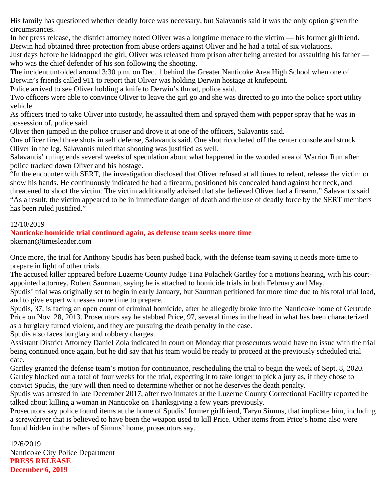His family has questioned whether deadly force was necessary, but Salavantis said it was the only option given the circumstances.

In her press release, the district attorney noted Oliver was a longtime menace to the victim — his former girlfriend. Derwin had obtained three protection from abuse orders against Oliver and he had a total of six violations.

Just days before he kidnapped the girl, Oliver was released from prison after being arrested for assaulting his father who was the chief defender of his son following the shooting.

The incident unfolded around 3:30 p.m. on Dec. 1 behind the Greater Nanticoke Area High School when one of Derwin's friends called 911 to report that Oliver was holding Derwin hostage at knifepoint.

Police arrived to see Oliver holding a knife to Derwin's throat, police said.

Two officers were able to convince Oliver to leave the girl go and she was directed to go into the police sport utility vehicle.

As officers tried to take Oliver into custody, he assaulted them and sprayed them with pepper spray that he was in possession of, police said.

Oliver then jumped in the police cruiser and drove it at one of the officers, Salavantis said.

One officer fired three shots in self defense, Salavantis said. One shot ricocheted off the center console and struck Oliver in the leg. Salavantis ruled that shooting was justified as well.

Salavantis' ruling ends several weeks of speculation about what happened in the wooded area of Warrior Run after police tracked down Oliver and his hostage.

"In the encounter with SERT, the investigation disclosed that Oliver refused at all times to relent, release the victim or show his hands. He continuously indicated he had a firearm, positioned his concealed hand against her neck, and threatened to shoot the victim. The victim additionally advised that she believed Oliver had a firearm," Salavantis said. "As a result, the victim appeared to be in immediate danger of death and the use of deadly force by the SERT members has been ruled justified."

### 12/10/2019

# **Nanticoke homicide trial continued again, as defense team seeks more time**

pkernan@timesleader.com

Once more, the trial for Anthony Spudis has been pushed back, with the defense team saying it needs more time to prepare in light of other trials.

The accused killer appeared before Luzerne County Judge Tina Polachek Gartley for a motions hearing, with his courtappointed attorney, Robert Saurman, saying he is attached to homicide trials in both February and May.

Spudis' trial was originally set to begin in early January, but Saurman petitioned for more time due to his total trial load, and to give expert witnesses more time to prepare.

Spudis, 37, is facing an open count of criminal homicide, after he allegedly broke into the Nanticoke home of Gertrude Price on Nov. 28, 2013. Prosecutors say he stabbed Price, 97, several times in the head in what has been characterized as a burglary turned violent, and they are pursuing the death penalty in the case.

Spudis also faces burglary and robbery charges.

Assistant District Attorney Daniel Zola indicated in court on Monday that prosecutors would have no issue with the trial being continued once again, but he did say that his team would be ready to proceed at the previously scheduled trial date.

Gartley granted the defense team's motion for continuance, rescheduling the trial to begin the week of Sept. 8, 2020. Gartley blocked out a total of four weeks for the trial, expecting it to take longer to pick a jury as, if they chose to convict Spudis, the jury will then need to determine whether or not he deserves the death penalty.

Spudis was arrested in late December 2017, after two inmates at the Luzerne County Correctional Facility reported he talked about killing a woman in Nanticoke on Thanksgiving a few years previously.

Prosecutors say police found items at the home of Spudis' former girlfriend, Taryn Simms, that implicate him, including a screwdriver that is believed to have been the weapon used to kill Price. Other items from Price's home also were found hidden in the rafters of Simms' home, prosecutors say.

12/6/2019 Nanticoke City Police Department **PRESS RELEASE December 6, 2019**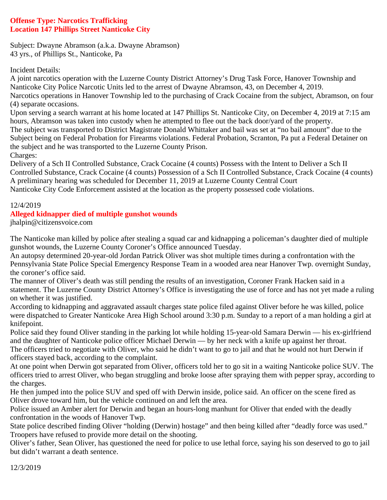### **Offense Type: Narcotics Trafficking Location 147 Phillips Street Nanticoke City**

Subject: Dwayne Abramson (a.k.a. Dwayne Abramson) 43 yrs., of Phillips St., Nanticoke, Pa

### Incident Details:

A joint narcotics operation with the Luzerne County District Attorney's Drug Task Force, Hanover Township and Nanticoke City Police Narcotic Units led to the arrest of Dwayne Abramson, 43, on December 4, 2019. Narcotics operations in Hanover Township led to the purchasing of Crack Cocaine from the subject, Abramson, on four (4) separate occasions.

Upon serving a search warrant at his home located at 147 Phillips St. Nanticoke City, on December 4, 2019 at 7:15 am hours, Abramson was taken into custody when he attempted to flee out the back door/yard of the property.

The subject was transported to District Magistrate Donald Whittaker and bail was set at "no bail amount" due to the Subject being on Federal Probation for Firearms violations. Federal Probation, Scranton, Pa put a Federal Detainer on the subject and he was transported to the Luzerne County Prison.

Charges:

Delivery of a Sch II Controlled Substance, Crack Cocaine (4 counts) Possess with the Intent to Deliver a Sch II Controlled Substance, Crack Cocaine (4 counts) Possession of a Sch II Controlled Substance, Crack Cocaine (4 counts) A preliminary hearing was scheduled for December 11, 2019 at Luzerne County Central Court Nanticoke City Code Enforcement assisted at the location as the property possessed code violations.

### 12/4/2019

## **Alleged kidnapper died of multiple gunshot wounds**

jhalpin@citizensvoice.com

The Nanticoke man killed by police after stealing a squad car and kidnapping a policeman's daughter died of multiple gunshot wounds, the Luzerne County Coroner's Office announced Tuesday.

An autopsy determined 20-year-old Jordan Patrick Oliver was shot multiple times during a confrontation with the Pennsylvania State Police Special Emergency Response Team in a wooded area near Hanover Twp. overnight Sunday, the coroner's office said.

The manner of Oliver's death was still pending the results of an investigation, Coroner Frank Hacken said in a statement. The Luzerne County District Attorney's Office is investigating the use of force and has not yet made a ruling on whether it was justified.

According to kidnapping and aggravated assault charges state police filed against Oliver before he was killed, police were dispatched to Greater Nanticoke Area High School around 3:30 p.m. Sunday to a report of a man holding a girl at knifepoint.

Police said they found Oliver standing in the parking lot while holding 15-year-old Samara Derwin — his ex-girlfriend and the daughter of Nanticoke police officer Michael Derwin — by her neck with a knife up against her throat. The officers tried to negotiate with Oliver, who said he didn't want to go to jail and that he would not hurt Derwin if

officers stayed back, according to the complaint.

At one point when Derwin got separated from Oliver, officers told her to go sit in a waiting Nanticoke police SUV. The officers tried to arrest Oliver, who began struggling and broke loose after spraying them with pepper spray, according to the charges.

He then jumped into the police SUV and sped off with Derwin inside, police said. An officer on the scene fired as Oliver drove toward him, but the vehicle continued on and left the area.

Police issued an Amber alert for Derwin and began an hours-long manhunt for Oliver that ended with the deadly confrontation in the woods of Hanover Twp.

State police described finding Oliver "holding (Derwin) hostage" and then being killed after "deadly force was used." Troopers have refused to provide more detail on the shooting.

Oliver's father, Sean Oliver, has questioned the need for police to use lethal force, saying his son deserved to go to jail but didn't warrant a death sentence.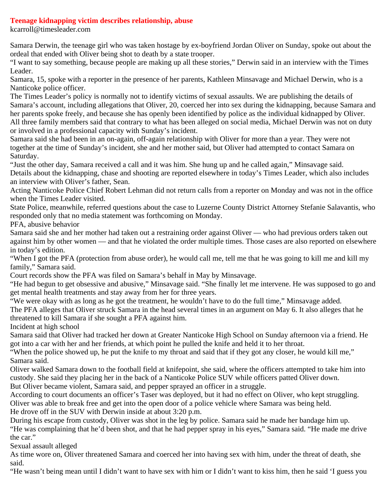### **Teenage kidnapping victim describes relationship, abuse**

kcarroll@timesleader.com

Samara Derwin, the teenage girl who was taken hostage by ex-boyfriend Jordan Oliver on Sunday, spoke out about the ordeal that ended with Oliver being shot to death by a state trooper.

"I want to say something, because people are making up all these stories," Derwin said in an interview with the Times Leader.

Samara, 15, spoke with a reporter in the presence of her parents, Kathleen Minsavage and Michael Derwin, who is a Nanticoke police officer.

The Times Leader's policy is normally not to identify victims of sexual assaults. We are publishing the details of Samara's account, including allegations that Oliver, 20, coerced her into sex during the kidnapping, because Samara and her parents spoke freely, and because she has openly been identified by police as the individual kidnapped by Oliver. All three family members said that contrary to what has been alleged on social media, Michael Derwin was not on duty or involved in a professional capacity with Sunday's incident.

Samara said she had been in an on-again, off-again relationship with Oliver for more than a year. They were not together at the time of Sunday's incident, she and her mother said, but Oliver had attempted to contact Samara on Saturday.

"Just the other day, Samara received a call and it was him. She hung up and he called again," Minsavage said. Details about the kidnapping, chase and shooting are reported elsewhere in today's Times Leader, which also includes an interview with Oliver's father, Sean.

Acting Nanticoke Police Chief Robert Lehman did not return calls from a reporter on Monday and was not in the office when the Times Leader visited.

State Police, meanwhile, referred questions about the case to Luzerne County District Attorney Stefanie Salavantis, who responded only that no media statement was forthcoming on Monday.

PFA, abusive behavior

Samara said she and her mother had taken out a restraining order against Oliver — who had previous orders taken out against him by other women — and that he violated the order multiple times. Those cases are also reported on elsewhere in today's edition.

"When I got the PFA (protection from abuse order), he would call me, tell me that he was going to kill me and kill my family," Samara said.

Court records show the PFA was filed on Samara's behalf in May by Minsavage.

"He had begun to get obsessive and abusive," Minsavage said. "She finally let me intervene. He was supposed to go and get mental health treatments and stay away from her for three years.

"We were okay with as long as he got the treatment, he wouldn't have to do the full time," Minsavage added.

The PFA alleges that Oliver struck Samara in the head several times in an argument on May 6. It also alleges that he threatened to kill Samara if she sought a PFA against him.

Incident at high school

Samara said that Oliver had tracked her down at Greater Nanticoke High School on Sunday afternoon via a friend. He got into a car with her and her friends, at which point he pulled the knife and held it to her throat.

"When the police showed up, he put the knife to my throat and said that if they got any closer, he would kill me," Samara said.

Oliver walked Samara down to the football field at knifepoint, she said, where the officers attempted to take him into custody. She said they placing her in the back of a Nanticoke Police SUV while officers patted Oliver down. But Oliver became violent, Samara said, and pepper sprayed an officer in a struggle.

According to court documents an officer's Taser was deployed, but it had no effect on Oliver, who kept struggling. Oliver was able to break free and get into the open door of a police vehicle where Samara was being held.

He drove off in the SUV with Derwin inside at about 3:20 p.m.

During his escape from custody, Oliver was shot in the leg by police. Samara said he made her bandage him up.

"He was complaining that he'd been shot, and that he had pepper spray in his eyes," Samara said. "He made me drive the car."

Sexual assault alleged

As time wore on, Oliver threatened Samara and coerced her into having sex with him, under the threat of death, she said.

"He wasn't being mean until I didn't want to have sex with him or I didn't want to kiss him, then he said 'I guess you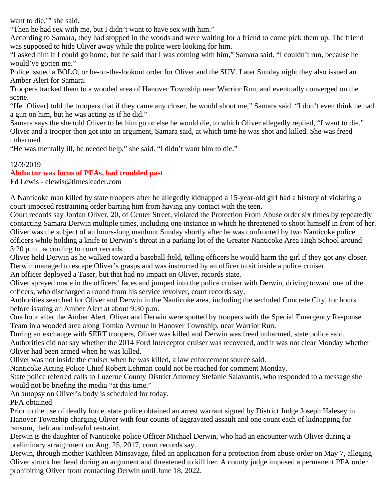want to die,'" she said.

"Then he had sex with me, but I didn't want to have sex with him."

According to Samara, they had stopped in the woods and were waiting for a friend to come pick them up. The friend was supposed to hide Oliver away while the police were looking for him.

"I asked him if I could go home, but he said that I was coming with him," Samara said. "I couldn't run, because he would've gotten me."

Police issued a BOLO, or be-on-the-lookout order for Oliver and the SUV. Later Sunday night they also issued an Amber Alert for Samara.

Troopers tracked them to a wooded area of Hanover Township near Warrior Run, and eventually converged on the scene.

"He [Oliver] told the troopers that if they came any closer, he would shoot me," Samara said. "I don't even think he had a gun on him, but he was acting as if he did."

Samara says the she told Oliver to let him go or else he would die, to which Oliver allegedly replied, "I want to die." Oliver and a trooper then got into an argument, Samara said, at which time he was shot and killed. She was freed unharmed.

"He was mentally ill, he needed help," she said. "I didn't want him to die."

## 12/3/2019

## **Abductor was focus of PFAs, had troubled past**

Ed Lewis - elewis@timesleader.com

A Nanticoke man killed by state troopers after he allegedly kidnapped a 15-year-old girl had a history of violating a court-imposed restraining order barring him from having any contact with the teen.

Court records say Jordan Oliver, 20, of Center Street, violated the Protection From Abuse order six times by repeatedly contacting Samara Derwin multiple times, including one instance in which he threatened to shoot himself in front of her. Oliver was the subject of an hours-long manhunt Sunday shortly after he was confronted by two Nanticoke police officers while holding a knife to Derwin's throat in a parking lot of the Greater Nanticoke Area High School around 3:20 p.m., according to court records.

Oliver held Derwin as he walked toward a baseball field, telling officers he would harm the girl if they got any closer. Derwin managed to escape Oliver's grasps and was instructed by an officer to sit inside a police cruiser.

An officer deployed a Taser, but that had no impact on Oliver, records state.

Oliver sprayed mace in the officers' faces and jumped into the police cruiser with Derwin, driving toward one of the officers, who discharged a round from his service revolver, court records say.

Authorities searched for Oliver and Derwin in the Nanticoke area, including the secluded Concrete City, for hours before issuing an Amber Alert at about 9:30 p.m.

One hour after the Amber Alert, Oliver and Derwin were spotted by troopers with the Special Emergency Response Team in a wooded area along Tomko Avenue in Hanover Township, near Warrior Run.

During an exchange with SERT troopers, Oliver was killed and Derwin was freed unharmed, state police said.

Authorities did not say whether the 2014 Ford Interceptor cruiser was recovered, and it was not clear Monday whether Oliver had been armed when he was killed.

Oliver was not inside the cruiser when he was killed, a law enforcement source said.

Nanticoke Acting Police Chief Robert Lehman could not be reached for comment Monday.

State police referred calls to Luzerne County District Attorney Stefanie Salavantis, who responded to a message she would not be briefing the media "at this time."

An autopsy on Oliver's body is scheduled for today.

PFA obtained

Prior to the use of deadly force, state police obtained an arrest warrant signed by District Judge Joseph Halesey in Hanover Township charging Oliver with four counts of aggravated assault and one count each of kidnapping for ransom, theft and unlawful restraint.

Derwin is the daughter of Nanticoke police Officer Michael Derwin, who had an encounter with Oliver during a preliminary arraignment on Aug. 25, 2017, court records say.

Derwin, through mother Kathleen Minsavage, filed an application for a protection from abuse order on May 7, alleging Oliver struck her head during an argument and threatened to kill her. A county judge imposed a permanent PFA order prohibiting Oliver from contacting Derwin until June 18, 2022.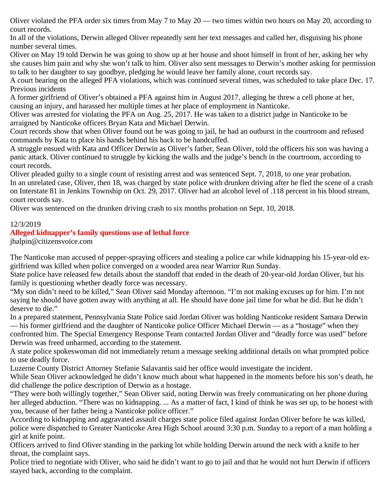Oliver violated the PFA order six times from May 7 to May 20 — two times within two hours on May 20, according to court records.

In all of the violations, Derwin alleged Oliver repeatedly sent her text messages and called her, disguising his phone number several times.

Oliver on May 19 told Derwin he was going to show up at her house and shoot himself in front of her, asking her why she causes him pain and why she won't talk to him. Oliver also sent messages to Derwin's mother asking for permission to talk to her daughter to say goodbye, pledging he would leave her family alone, court records say.

A court hearing on the alleged PFA violations, which was continued several times, was scheduled to take place Dec. 17. Previous incidents

A former girlfriend of Oliver's obtained a PFA against him in August 2017, alleging he threw a cell phone at her, causing an injury, and harassed her multiple times at her place of employment in Nanticoke.

Oliver was arrested for violating the PFA on Aug. 25, 2017. He was taken to a district judge in Nanticoke to be arraigned by Nanticoke officers Bryan Kata and Michael Derwin.

Court records show that when Oliver found out he was going to jail, he had an outburst in the courtroom and refused commands by Kata to place his hands behind his back to be handcuffed.

A struggle ensued with Kata and Officer Derwin as Oliver's father, Sean Oliver, told the officers his son was having a panic attack. Oliver continued to struggle by kicking the walls and the judge's bench in the courtroom, according to court records.

Oliver pleaded guilty to a single count of resisting arrest and was sentenced Sept. 7, 2018, to one year probation. In an unrelated case, Oliver, then 18, was charged by state police with drunken driving after he fled the scene of a crash on Interstate 81 in Jenkins Township on Oct. 29, 2017. Oliver had an alcohol level of .118 percent in his blood stream, court records say.

Oliver was sentenced on the drunken driving crash to six months probation on Sept. 10, 2018.

### 12/3/2019

### **Alleged kidnapper's family questions use of lethal force**

jhalpin@citizensvoice.com

The Nanticoke man accused of pepper-spraying officers and stealing a police car while kidnapping his 15-year-old exgirlfriend was killed when police converged on a wooded area near Warrior Run Sunday.

State police have released few details about the standoff that ended in the death of 20-year-old Jordan Oliver, but his family is questioning whether deadly force was necessary.

"My son didn't need to be killed," Sean Oliver said Monday afternoon. "I'm not making excuses up for him. I'm not saying he should have gotten away with anything at all. He should have done jail time for what he did. But he didn't deserve to die."

In a prepared statement, Pennsylvania State Police said Jordan Oliver was holding Nanticoke resident Samara Derwin — his former girlfriend and the daughter of Nanticoke police Officer Michael Derwin — as a "hostage" when they confronted him. The Special Emergency Response Team contacted Jordan Oliver and "deadly force was used" before Derwin was freed unharmed, according to the statement.

A state police spokeswoman did not immediately return a message seeking additional details on what prompted police to use deadly force.

Luzerne County District Attorney Stefanie Salavantis said her office would investigate the incident.

While Sean Oliver acknowledged he didn't know much about what happened in the moments before his son's death, he did challenge the police description of Derwin as a hostage.

"They were both willingly together," Sean Oliver said, noting Derwin was freely communicating on her phone during her alleged abduction. "There was no kidnapping. ... As a matter of fact, I kind of think he was set up, to be honest with you, because of her father being a Nanticoke police officer."

According to kidnapping and aggravated assault charges state police filed against Jordan Oliver before he was killed, police were dispatched to Greater Nanticoke Area High School around 3:30 p.m. Sunday to a report of a man holding a girl at knife point.

Officers arrived to find Oliver standing in the parking lot while holding Derwin around the neck with a knife to her throat, the complaint says.

Police tried to negotiate with Oliver, who said he didn't want to go to jail and that he would not hurt Derwin if officers stayed back, according to the complaint.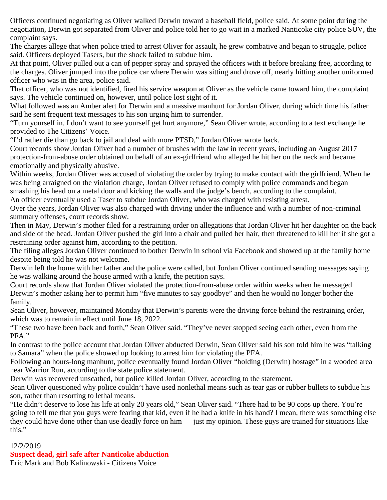Officers continued negotiating as Oliver walked Derwin toward a baseball field, police said. At some point during the negotiation, Derwin got separated from Oliver and police told her to go wait in a marked Nanticoke city police SUV, the complaint says.

The charges allege that when police tried to arrest Oliver for assault, he grew combative and began to struggle, police said. Officers deployed Tasers, but the shock failed to subdue him.

At that point, Oliver pulled out a can of pepper spray and sprayed the officers with it before breaking free, according to the charges. Oliver jumped into the police car where Derwin was sitting and drove off, nearly hitting another uniformed officer who was in the area, police said.

That officer, who was not identified, fired his service weapon at Oliver as the vehicle came toward him, the complaint says. The vehicle continued on, however, until police lost sight of it.

What followed was an Amber alert for Derwin and a massive manhunt for Jordan Oliver, during which time his father said he sent frequent text messages to his son urging him to surrender.

"Turn yourself in. I don't want to see yourself get hurt anymore," Sean Oliver wrote, according to a text exchange he provided to The Citizens' Voice.

"I'd rather die than go back to jail and deal with more PTSD," Jordan Oliver wrote back.

Court records show Jordan Oliver had a number of brushes with the law in recent years, including an August 2017 protection-from-abuse order obtained on behalf of an ex-girlfriend who alleged he hit her on the neck and became emotionally and physically abusive.

Within weeks, Jordan Oliver was accused of violating the order by trying to make contact with the girlfriend. When he was being arraigned on the violation charge, Jordan Oliver refused to comply with police commands and began smashing his head on a metal door and kicking the walls and the judge's bench, according to the complaint.

An officer eventually used a Taser to subdue Jordan Oliver, who was charged with resisting arrest.

Over the years, Jordan Oliver was also charged with driving under the influence and with a number of non-criminal summary offenses, court records show.

Then in May, Derwin's mother filed for a restraining order on allegations that Jordan Oliver hit her daughter on the back and side of the head. Jordan Oliver pushed the girl into a chair and pulled her hair, then threatened to kill her if she got a restraining order against him, according to the petition.

The filing alleges Jordan Oliver continued to bother Derwin in school via Facebook and showed up at the family home despite being told he was not welcome.

Derwin left the home with her father and the police were called, but Jordan Oliver continued sending messages saying he was walking around the house armed with a knife, the petition says.

Court records show that Jordan Oliver violated the protection-from-abuse order within weeks when he messaged Derwin's mother asking her to permit him "five minutes to say goodbye" and then he would no longer bother the family.

Sean Oliver, however, maintained Monday that Derwin's parents were the driving force behind the restraining order, which was to remain in effect until June 18, 2022.

"These two have been back and forth," Sean Oliver said. "They've never stopped seeing each other, even from the PFA."

In contrast to the police account that Jordan Oliver abducted Derwin, Sean Oliver said his son told him he was "talking to Samara" when the police showed up looking to arrest him for violating the PFA.

Following an hours-long manhunt, police eventually found Jordan Oliver "holding (Derwin) hostage" in a wooded area near Warrior Run, according to the state police statement.

Derwin was recovered unscathed, but police killed Jordan Oliver, according to the statement.

Sean Oliver questioned why police couldn't have used nonlethal means such as tear gas or rubber bullets to subdue his son, rather than resorting to lethal means.

"He didn't deserve to lose his life at only 20 years old," Sean Oliver said. "There had to be 90 cops up there. You're going to tell me that you guys were fearing that kid, even if he had a knife in his hand? I mean, there was something else they could have done other than use deadly force on him — just my opinion. These guys are trained for situations like this."

12/2/2019

**Suspect dead, girl safe after Nanticoke abduction**

Eric Mark and Bob Kalinowski - Citizens Voice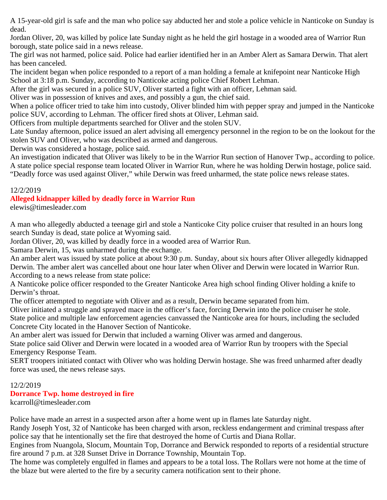A 15-year-old girl is safe and the man who police say abducted her and stole a police vehicle in Nanticoke on Sunday is dead.

Jordan Oliver, 20, was killed by police late Sunday night as he held the girl hostage in a wooded area of Warrior Run borough, state police said in a news release.

The girl was not harmed, police said. Police had earlier identified her in an Amber Alert as Samara Derwin. That alert has been canceled.

The incident began when police responded to a report of a man holding a female at knifepoint near Nanticoke High School at 3:18 p.m. Sunday, according to Nanticoke acting police Chief Robert Lehman.

After the girl was secured in a police SUV, Oliver started a fight with an officer, Lehman said.

Oliver was in possession of knives and axes, and possibly a gun, the chief said.

When a police officer tried to take him into custody, Oliver blinded him with pepper spray and jumped in the Nanticoke police SUV, according to Lehman. The officer fired shots at Oliver, Lehman said.

Officers from multiple departments searched for Oliver and the stolen SUV.

Late Sunday afternoon, police issued an alert advising all emergency personnel in the region to be on the lookout for the stolen SUV and Oliver, who was described as armed and dangerous.

Derwin was considered a hostage, police said.

An investigation indicated that Oliver was likely to be in the Warrior Run section of Hanover Twp., according to police. A state police special response team located Oliver in Warrior Run, where he was holding Derwin hostage, police said. "Deadly force was used against Oliver," while Derwin was freed unharmed, the state police news release states.

### 12/2/2019

## **Alleged kidnapper killed by deadly force in Warrior Run**

elewis@timesleader.com

A man who allegedly abducted a teenage girl and stole a Nanticoke City police cruiser that resulted in an hours long search Sunday is dead, state police at Wyoming said.

Jordan Oliver, 20, was killed by deadly force in a wooded area of Warrior Run.

Samara Derwin, 15, was unharmed during the exchange.

An amber alert was issued by state police at about 9:30 p.m. Sunday, about six hours after Oliver allegedly kidnapped Derwin. The amber alert was cancelled about one hour later when Oliver and Derwin were located in Warrior Run. According to a news release from state police:

A Nanticoke police officer responded to the Greater Nanticoke Area high school finding Oliver holding a knife to Derwin's throat.

The officer attempted to negotiate with Oliver and as a result, Derwin became separated from him.

Oliver initiated a struggle and sprayed mace in the officer's face, forcing Derwin into the police cruiser he stole. State police and multiple law enforcement agencies canvassed the Nanticoke area for hours, including the secluded Concrete City located in the Hanover Section of Nanticoke.

An amber alert was issued for Derwin that included a warning Oliver was armed and dangerous.

State police said Oliver and Derwin were located in a wooded area of Warrior Run by troopers with the Special Emergency Response Team.

SERT troopers initiated contact with Oliver who was holding Derwin hostage. She was freed unharmed after deadly force was used, the news release says.

## 12/2/2019

## **Dorrance Twp. home destroyed in fire**

kcarroll@timesleader.com

Police have made an arrest in a suspected arson after a home went up in flames late Saturday night.

Randy Joseph Yost, 32 of Nanticoke has been charged with arson, reckless endangerment and criminal trespass after police say that he intentionally set the fire that destroyed the home of Curtis and Diana Rollar.

Engines from Nuangola, Slocum, Mountain Top, Dorrance and Berwick responded to reports of a residential structure fire around 7 p.m. at 328 Sunset Drive in Dorrance Township, Mountain Top.

The home was completely engulfed in flames and appears to be a total loss. The Rollars were not home at the time of the blaze but were alerted to the fire by a security camera notification sent to their phone.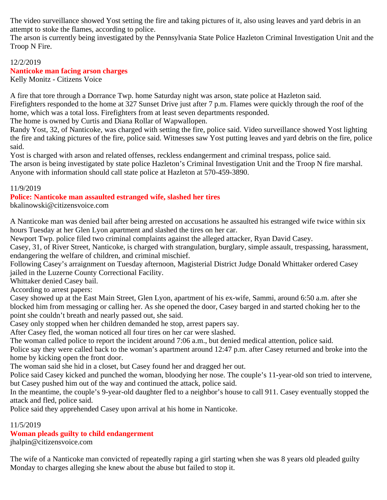The video surveillance showed Yost setting the fire and taking pictures of it, also using leaves and yard debris in an attempt to stoke the flames, according to police.

The arson is currently being investigated by the Pennsylvania State Police Hazleton Criminal Investigation Unit and the Troop N Fire.

#### 12/2/2019 **Nanticoke man facing arson charges** Kelly Monitz - Citizens Voice

A fire that tore through a Dorrance Twp. home Saturday night was arson, state police at Hazleton said. Firefighters responded to the home at 327 Sunset Drive just after 7 p.m. Flames were quickly through the roof of the home, which was a total loss. Firefighters from at least seven departments responded.

The home is owned by Curtis and Diana Rollar of Wapwallopen.

Randy Yost, 32, of Nanticoke, was charged with setting the fire, police said. Video surveillance showed Yost lighting the fire and taking pictures of the fire, police said. Witnesses saw Yost putting leaves and yard debris on the fire, police said.

Yost is charged with arson and related offenses, reckless endangerment and criminal trespass, police said. The arson is being investigated by state police Hazleton's Criminal Investigation Unit and the Troop N fire marshal. Anyone with information should call state police at Hazleton at 570-459-3890.

11/9/2019

## **Police: Nanticoke man assaulted estranged wife, slashed her tires**

bkalinowski@citizensvoice.com

A Nanticoke man was denied bail after being arrested on accusations he assaulted his estranged wife twice within six hours Tuesday at her Glen Lyon apartment and slashed the tires on her car.

Newport Twp. police filed two criminal complaints against the alleged attacker, Ryan David Casey.

Casey, 31, of River Street, Nanticoke, is charged with strangulation, burglary, simple assault, trespassing, harassment, endangering the welfare of children, and criminal mischief.

Following Casey's arraignment on Tuesday afternoon, Magisterial District Judge Donald Whittaker ordered Casey jailed in the Luzerne County Correctional Facility.

Whittaker denied Casey bail.

According to arrest papers:

Casey showed up at the East Main Street, Glen Lyon, apartment of his ex-wife, Sammi, around 6:50 a.m. after she blocked him from messaging or calling her. As she opened the door, Casey barged in and started choking her to the point she couldn't breath and nearly passed out, she said.

Casey only stopped when her children demanded he stop, arrest papers say.

After Casey fled, the woman noticed all four tires on her car were slashed.

The woman called police to report the incident around 7:06 a.m., but denied medical attention, police said.

Police say they were called back to the woman's apartment around 12:47 p.m. after Casey returned and broke into the home by kicking open the front door.

The woman said she hid in a closet, but Casey found her and dragged her out.

Police said Casey kicked and punched the woman, bloodying her nose. The couple's 11-year-old son tried to intervene, but Casey pushed him out of the way and continued the attack, police said.

In the meantime, the couple's 9-year-old daughter fled to a neighbor's house to call 911. Casey eventually stopped the attack and fled, police said.

Police said they apprehended Casey upon arrival at his home in Nanticoke.

### 11/5/2019

### **Woman pleads guilty to child endangerment**

jhalpin@citizensvoice.com

The wife of a Nanticoke man convicted of repeatedly raping a girl starting when she was 8 years old pleaded guilty Monday to charges alleging she knew about the abuse but failed to stop it.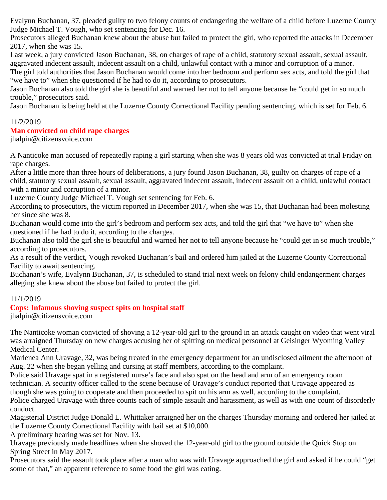Evalynn Buchanan, 37, pleaded guilty to two felony counts of endangering the welfare of a child before Luzerne County Judge Michael T. Vough, who set sentencing for Dec. 16.

Prosecutors alleged Buchanan knew about the abuse but failed to protect the girl, who reported the attacks in December 2017, when she was 15.

Last week, a jury convicted Jason Buchanan, 38, on charges of rape of a child, statutory sexual assault, sexual assault, aggravated indecent assault, indecent assault on a child, unlawful contact with a minor and corruption of a minor.

The girl told authorities that Jason Buchanan would come into her bedroom and perform sex acts, and told the girl that "we have to" when she questioned if he had to do it, according to prosecutors.

Jason Buchanan also told the girl she is beautiful and warned her not to tell anyone because he "could get in so much trouble," prosecutors said.

Jason Buchanan is being held at the Luzerne County Correctional Facility pending sentencing, which is set for Feb. 6.

### 11/2/2019

### **Man convicted on child rape charges**

jhalpin@citizensvoice.com

A Nanticoke man accused of repeatedly raping a girl starting when she was 8 years old was convicted at trial Friday on rape charges.

After a little more than three hours of deliberations, a jury found Jason Buchanan, 38, guilty on charges of rape of a child, statutory sexual assault, sexual assault, aggravated indecent assault, indecent assault on a child, unlawful contact with a minor and corruption of a minor.

Luzerne County Judge Michael T. Vough set sentencing for Feb. 6.

According to prosecutors, the victim reported in December 2017, when she was 15, that Buchanan had been molesting her since she was 8.

Buchanan would come into the girl's bedroom and perform sex acts, and told the girl that "we have to" when she questioned if he had to do it, according to the charges.

Buchanan also told the girl she is beautiful and warned her not to tell anyone because he "could get in so much trouble," according to prosecutors.

As a result of the verdict, Vough revoked Buchanan's bail and ordered him jailed at the Luzerne County Correctional Facility to await sentencing.

Buchanan's wife, Evalynn Buchanan, 37, is scheduled to stand trial next week on felony child endangerment charges alleging she knew about the abuse but failed to protect the girl.

### 11/1/2019

### **Cops: Infamous shoving suspect spits on hospital staff**

jhalpin@citizensvoice.com

The Nanticoke woman convicted of shoving a 12-year-old girl to the ground in an attack caught on video that went viral was arraigned Thursday on new charges accusing her of spitting on medical personnel at Geisinger Wyoming Valley Medical Center.

Marlenea Ann Uravage, 32, was being treated in the emergency department for an undisclosed ailment the afternoon of Aug. 22 when she began yelling and cursing at staff members, according to the complaint.

Police said Uravage spat in a registered nurse's face and also spat on the head and arm of an emergency room technician. A security officer called to the scene because of Uravage's conduct reported that Uravage appeared as though she was going to cooperate and then proceeded to spit on his arm as well, according to the complaint.

Police charged Uravage with three counts each of simple assault and harassment, as well as with one count of disorderly conduct.

Magisterial District Judge Donald L. Whittaker arraigned her on the charges Thursday morning and ordered her jailed at the Luzerne County Correctional Facility with bail set at \$10,000.

A preliminary hearing was set for Nov. 13.

Uravage previously made headlines when she shoved the 12-year-old girl to the ground outside the Quick Stop on Spring Street in May 2017.

Prosecutors said the assault took place after a man who was with Uravage approached the girl and asked if he could "get some of that," an apparent reference to some food the girl was eating.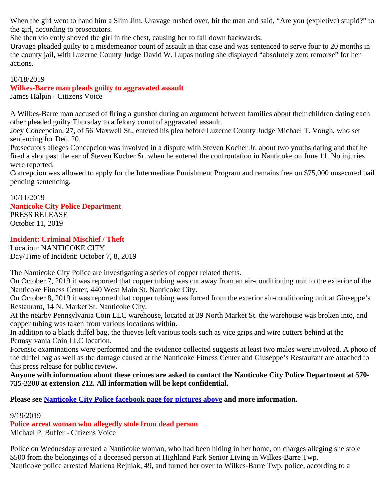When the girl went to hand him a Slim Jim, Uravage rushed over, hit the man and said, "Are you (expletive) stupid?" to the girl, according to prosecutors.

She then violently shoved the girl in the chest, causing her to fall down backwards.

Uravage pleaded guilty to a misdemeanor count of assault in that case and was sentenced to serve four to 20 months in the county jail, with Luzerne County Judge David W. Lupas noting she displayed "absolutely zero remorse" for her actions.

### 10/18/2019

### **Wilkes-Barre man pleads guilty to aggravated assault**

James Halpin - Citizens Voice

A Wilkes-Barre man accused of firing a gunshot during an argument between families about their children dating each other pleaded guilty Thursday to a felony count of aggravated assault.

Joey Concepcion, 27, of 56 Maxwell St., entered his plea before Luzerne County Judge Michael T. Vough, who set sentencing for Dec. 20.

Prosecutors alleges Concepcion was involved in a dispute with Steven Kocher Jr. about two youths dating and that he fired a shot past the ear of Steven Kocher Sr. when he entered the confrontation in Nanticoke on June 11. No injuries were reported.

Concepcion was allowed to apply for the Intermediate Punishment Program and remains free on \$75,000 unsecured bail pending sentencing.

### 10/11/2019 **Nanticoke City Police Department** PRESS RELEASE October 11, 2019

## **Incident: Criminal Mischief / Theft**

Location: NANTICOKE CITY Day/Time of Incident: October 7, 8, 2019

The Nanticoke City Police are investigating a series of copper related thefts.

On October 7, 2019 it was reported that copper tubing was cut away from an air-conditioning unit to the exterior of the Nanticoke Fitness Center, 440 West Main St. Nanticoke City.

On October 8, 2019 it was reported that copper tubing was forced from the exterior air-conditioning unit at Giuseppe's Restaurant, 14 N. Market St. Nanticoke City.

At the nearby Pennsylvania Coin LLC warehouse, located at 39 North Market St. the warehouse was broken into, and copper tubing was taken from various locations within.

In addition to a black duffel bag, the thieves left various tools such as vice grips and wire cutters behind at the Pennsylvania Coin LLC location.

Forensic examinations were performed and the evidence collected suggests at least two males were involved. A photo of the duffel bag as well as the damage caused at the Nanticoke Fitness Center and Giuseppe's Restaurant are attached to this press release for public review.

**Anyone with information about these crimes are asked to contact the Nanticoke City Police Department at 570- 735-2200 at extension 212. All information will be kept confidential.**

**Please see [Nanticoke City Police facebook page for pictures above](https://www.facebook.com/pg/Nanticoke-City-Police-Department-365343510340315/posts/?ref=notif) and more information.**

## 9/19/2019

**Police arrest woman who allegedly stole from dead person**

Michael P. Buffer - Citizens Voice

Police on Wednesday arrested a Nanticoke woman, who had been hiding in her home, on charges alleging she stole \$500 from the belongings of a deceased person at Highland Park Senior Living in Wilkes-Barre Twp. Nanticoke police arrested Marlena Rejniak, 49, and turned her over to Wilkes-Barre Twp. police, according to a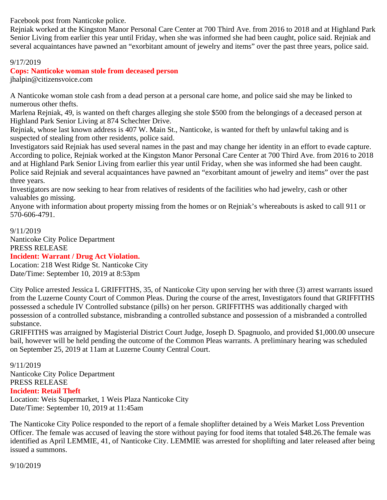Facebook post from Nanticoke police.

Rejniak worked at the Kingston Manor Personal Care Center at 700 Third Ave. from 2016 to 2018 and at Highland Park Senior Living from earlier this year until Friday, when she was informed she had been caught, police said. Rejniak and several acquaintances have pawned an "exorbitant amount of jewelry and items" over the past three years, police said.

### 9/17/2019

## **Cops: Nanticoke woman stole from deceased person**

jhalpin@citizensvoice.com

A Nanticoke woman stole cash from a dead person at a personal care home, and police said she may be linked to numerous other thefts.

Marlena Rejniak, 49, is wanted on theft charges alleging she stole \$500 from the belongings of a deceased person at Highland Park Senior Living at 874 Schechter Drive.

Rejniak, whose last known address is 407 W. Main St., Nanticoke, is wanted for theft by unlawful taking and is suspected of stealing from other residents, police said.

Investigators said Rejniak has used several names in the past and may change her identity in an effort to evade capture. According to police, Rejniak worked at the Kingston Manor Personal Care Center at 700 Third Ave. from 2016 to 2018 and at Highland Park Senior Living from earlier this year until Friday, when she was informed she had been caught. Police said Rejniak and several acquaintances have pawned an "exorbitant amount of jewelry and items" over the past three years.

Investigators are now seeking to hear from relatives of residents of the facilities who had jewelry, cash or other valuables go missing.

Anyone with information about property missing from the homes or on Rejniak's whereabouts is asked to call 911 or 570-606-4791.

9/11/2019 Nanticoke City Police Department PRESS RELEASE **Incident: Warrant / Drug Act Violation.**

Location: 218 West Ridge St. Nanticoke City Date/Time: September 10, 2019 at 8:53pm

City Police arrested Jessica L GRIFFITHS, 35, of Nanticoke City upon serving her with three (3) arrest warrants issued from the Luzerne County Court of Common Pleas. During the course of the arrest, Investigators found that GRIFFITHS possessed a schedule IV Controlled substance (pills) on her person. GRIFFITHS was additionally charged with possession of a controlled substance, misbranding a controlled substance and possession of a misbranded a controlled substance.

GRIFFITHS was arraigned by Magisterial District Court Judge, Joseph D. Spagnuolo, and provided \$1,000.00 unsecure bail, however will be held pending the outcome of the Common Pleas warrants. A preliminary hearing was scheduled on September 25, 2019 at 11am at Luzerne County Central Court.

9/11/2019 Nanticoke City Police Department PRESS RELEASE **Incident: Retail Theft**

Location: Weis Supermarket, 1 Weis Plaza Nanticoke City Date/Time: September 10, 2019 at 11:45am

The Nanticoke City Police responded to the report of a female shoplifter detained by a Weis Market Loss Prevention Officer. The female was accused of leaving the store without paying for food items that totaled \$48.26.The female was identified as April LEMMIE, 41, of Nanticoke City. LEMMIE was arrested for shoplifting and later released after being issued a summons.

9/10/2019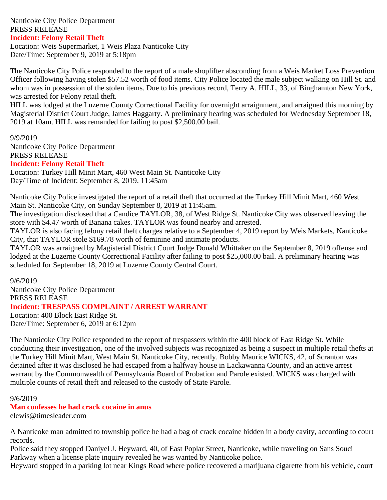Nanticoke City Police Department PRESS RELEASE

#### **Incident: Felony Retail Theft**

Location: Weis Supermarket, 1 Weis Plaza Nanticoke City Date/Time: September 9, 2019 at 5:18pm

The Nanticoke City Police responded to the report of a male shoplifter absconding from a Weis Market Loss Prevention Officer following having stolen \$57.52 worth of food items. City Police located the male subject walking on Hill St. and whom was in possession of the stolen items. Due to his previous record, Terry A. HILL, 33, of Binghamton New York, was arrested for Felony retail theft.

HILL was lodged at the Luzerne County Correctional Facility for overnight arraignment, and arraigned this morning by Magisterial District Court Judge, James Haggarty. A preliminary hearing was scheduled for Wednesday September 18, 2019 at 10am. HILL was remanded for failing to post \$2,500.00 bail.

9/9/2019 Nanticoke City Police Department PRESS RELEASE **Incident: Felony Retail Theft** Location: Turkey Hill Minit Mart, 460 West Main St. Nanticoke City Day/Time of Incident: September 8, 2019. 11:45am

Nanticoke City Police investigated the report of a retail theft that occurred at the Turkey Hill Minit Mart, 460 West Main St. Nanticoke City, on Sunday September 8, 2019 at 11:45am.

The investigation disclosed that a Candice TAYLOR, 38, of West Ridge St. Nanticoke City was observed leaving the store with \$4.47 worth of Banana cakes. TAYLOR was found nearby and arrested.

TAYLOR is also facing felony retail theft charges relative to a September 4, 2019 report by Weis Markets, Nanticoke City, that TAYLOR stole \$169.78 worth of feminine and intimate products.

TAYLOR was arraigned by Magisterial District Court Judge Donald Whittaker on the September 8, 2019 offense and lodged at the Luzerne County Correctional Facility after failing to post \$25,000.00 bail. A preliminary hearing was scheduled for September 18, 2019 at Luzerne County Central Court.

9/6/2019 Nanticoke City Police Department PRESS RELEASE **Incident: TRESPASS COMPLAINT / ARREST WARRANT** Location: 400 Block East Ridge St.

Date/Time: September 6, 2019 at 6:12pm

The Nanticoke City Police responded to the report of trespassers within the 400 block of East Ridge St. While conducting their investigation, one of the involved subjects was recognized as being a suspect in multiple retail thefts at the Turkey Hill Minit Mart, West Main St. Nanticoke City, recently. Bobby Maurice WICKS, 42, of Scranton was detained after it was disclosed he had escaped from a halfway house in Lackawanna County, and an active arrest warrant by the Commonwealth of Pennsylvania Board of Probation and Parole existed. WICKS was charged with multiple counts of retail theft and released to the custody of State Parole.

### 9/6/2019

**Man confesses he had crack cocaine in anus** elewis@timesleader.com

A Nanticoke man admitted to township police he had a bag of crack cocaine hidden in a body cavity, according to court records.

Police said they stopped Daniyel J. Heyward, 40, of East Poplar Street, Nanticoke, while traveling on Sans Souci Parkway when a license plate inquiry revealed he was wanted by Nanticoke police.

Heyward stopped in a parking lot near Kings Road where police recovered a marijuana cigarette from his vehicle, court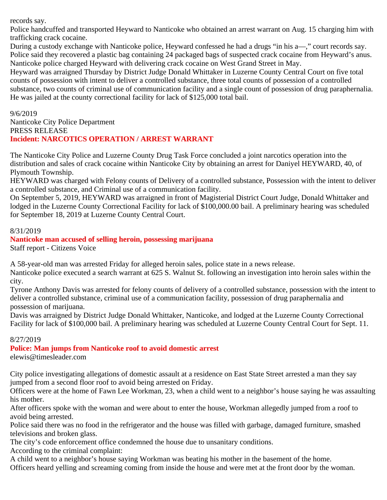records say.

Police handcuffed and transported Heyward to Nanticoke who obtained an arrest warrant on Aug. 15 charging him with trafficking crack cocaine.

During a custody exchange with Nanticoke police, Heyward confessed he had a drugs "in his a—," court records say. Police said they recovered a plastic bag containing 24 packaged bags of suspected crack cocaine from Heyward's anus. Nanticoke police charged Heyward with delivering crack cocaine on West Grand Street in May.

Heyward was arraigned Thursday by District Judge Donald Whittaker in Luzerne County Central Court on five total counts of possession with intent to deliver a controlled substance, three total counts of possession of a controlled substance, two counts of criminal use of communication facility and a single count of possession of drug paraphernalia. He was jailed at the county correctional facility for lack of \$125,000 total bail.

### 9/6/2019 Nanticoke City Police Department PRESS RELEASE **Incident: NARCOTICS OPERATION / ARREST WARRANT**

The Nanticoke City Police and Luzerne County Drug Task Force concluded a joint narcotics operation into the distribution and sales of crack cocaine within Nanticoke City by obtaining an arrest for Daniyel HEYWARD, 40, of Plymouth Township.

HEYWARD was charged with Felony counts of Delivery of a controlled substance, Possession with the intent to deliver a controlled substance, and Criminal use of a communication facility.

On September 5, 2019, HEYWARD was arraigned in front of Magisterial District Court Judge, Donald Whittaker and lodged in the Luzerne County Correctional Facility for lack of \$100,000.00 bail. A preliminary hearing was scheduled for September 18, 2019 at Luzerne County Central Court.

### 8/31/2019

## **Nanticoke man accused of selling heroin, possessing marijuana**

Staff report - Citizens Voice

A 58-year-old man was arrested Friday for alleged heroin sales, police state in a news release.

Nanticoke police executed a search warrant at 625 S. Walnut St. following an investigation into heroin sales within the city.

Tyrone Anthony Davis was arrested for felony counts of delivery of a controlled substance, possession with the intent to deliver a controlled substance, criminal use of a communication facility, possession of drug paraphernalia and possession of marijuana.

Davis was arraigned by District Judge Donald Whittaker, Nanticoke, and lodged at the Luzerne County Correctional Facility for lack of \$100,000 bail. A preliminary hearing was scheduled at Luzerne County Central Court for Sept. 11.

### 8/27/2019

**Police: Man jumps from Nanticoke roof to avoid domestic arrest**

elewis@timesleader.com

City police investigating allegations of domestic assault at a residence on East State Street arrested a man they say jumped from a second floor roof to avoid being arrested on Friday.

Officers were at the home of Fawn Lee Workman, 23, when a child went to a neighbor's house saying he was assaulting his mother.

After officers spoke with the woman and were about to enter the house, Workman allegedly jumped from a roof to avoid being arrested.

Police said there was no food in the refrigerator and the house was filled with garbage, damaged furniture, smashed televisions and broken glass.

The city's code enforcement office condemned the house due to unsanitary conditions.

According to the criminal complaint:

A child went to a neighbor's house saying Workman was beating his mother in the basement of the home.

Officers heard yelling and screaming coming from inside the house and were met at the front door by the woman.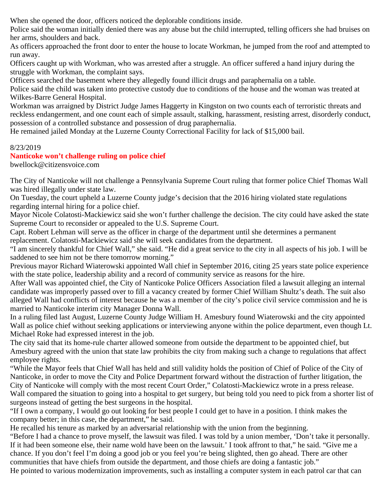When she opened the door, officers noticed the deplorable conditions inside.

Police said the woman initially denied there was any abuse but the child interrupted, telling officers she had bruises on her arms, shoulders and back.

As officers approached the front door to enter the house to locate Workman, he jumped from the roof and attempted to run away.

Officers caught up with Workman, who was arrested after a struggle. An officer suffered a hand injury during the struggle with Workman, the complaint says.

Officers searched the basement where they allegedly found illicit drugs and paraphernalia on a table.

Police said the child was taken into protective custody due to conditions of the house and the woman was treated at Wilkes-Barre General Hospital.

Workman was arraigned by District Judge James Haggerty in Kingston on two counts each of terroristic threats and reckless endangerment, and one count each of simple assault, stalking, harassment, resisting arrest, disorderly conduct, possession of a controlled substance and possession of drug paraphernalia.

He remained jailed Monday at the Luzerne County Correctional Facility for lack of \$15,000 bail.

### 8/23/2019

## **Nanticoke won't challenge ruling on police chief**

bwellock@citizensvoice.com

The City of Nanticoke will not challenge a Pennsylvania Supreme Court ruling that former police Chief Thomas Wall was hired illegally under state law.

On Tuesday, the court upheld a Luzerne County judge's decision that the 2016 hiring violated state regulations regarding internal hiring for a police chief.

Mayor Nicole Colatosti-Mackiewicz said she won't further challenge the decision. The city could have asked the state Supreme Court to reconsider or appealed to the U.S. Supreme Court.

Capt. Robert Lehman will serve as the officer in charge of the department until she determines a permanent replacement. Colatosti-Mackiewicz said she will seek candidates from the department.

"I am sincerely thankful for Chief Wall," she said. "He did a great service to the city in all aspects of his job. I will be saddened to see him not be there tomorrow morning."

Previous mayor Richard Wiaterowski appointed Wall chief in September 2016, citing 25 years state police experience with the state police, leadership ability and a record of community service as reasons for the hire.

After Wall was appointed chief, the City of Nanticoke Police Officers Association filed a lawsuit alleging an internal candidate was improperly passed over to fill a vacancy created by former Chief William Shultz's death. The suit also alleged Wall had conflicts of interest because he was a member of the city's police civil service commission and he is married to Nanticoke interim city Manager Donna Wall.

In a ruling filed last August, Luzerne County Judge William H. Amesbury found Wiaterowski and the city appointed Wall as police chief without seeking applications or interviewing anyone within the police department, even though Lt. Michael Roke had expressed interest in the job.

The city said that its home-rule charter allowed someone from outside the department to be appointed chief, but Amesbury agreed with the union that state law prohibits the city from making such a change to regulations that affect employee rights.

"While the Mayor feels that Chief Wall has held and still validity holds the position of Chief of Police of the City of Nanticoke, in order to move the City and Police Department forward without the distraction of further litigation, the City of Nanticoke will comply with the most recent Court Order," Colatosti-Mackiewicz wrote in a press release. Wall compared the situation to going into a hospital to get surgery, but being told you need to pick from a shorter list of surgeons instead of getting the best surgeons in the hospital.

"If I own a company, I would go out looking for best people I could get to have in a position. I think makes the company better; in this case, the department," he said.

He recalled his tenure as marked by an adversarial relationship with the union from the beginning.

"Before I had a chance to prove myself, the lawsuit was filed. I was told by a union member, 'Don't take it personally. If it had been someone else, their name wold have been on the lawsuit.' I took affront to that," he said. "Give me a chance. If you don't feel I'm doing a good job or you feel you're being slighted, then go ahead. There are other communities that have chiefs from outside the department, and those chiefs are doing a fantastic job."

He pointed to various modernization improvements, such as installing a computer system in each patrol car that can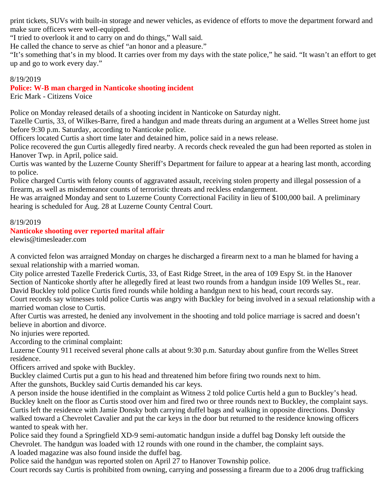print tickets, SUVs with built-in storage and newer vehicles, as evidence of efforts to move the department forward and make sure officers were well-equipped.

"I tried to overlook it and to carry on and do things," Wall said.

He called the chance to serve as chief "an honor and a pleasure."

"It's something that's in my blood. It carries over from my days with the state police," he said. "It wasn't an effort to get up and go to work every day."

### 8/19/2019

### **Police: W-B man charged in Nanticoke shooting incident**

Eric Mark - Citizens Voice

Police on Monday released details of a shooting incident in Nanticoke on Saturday night.

Tazelle Curtis, 33, of Wilkes-Barre, fired a handgun and made threats during an argument at a Welles Street home just before 9:30 p.m. Saturday, according to Nanticoke police.

Officers located Curtis a short time later and detained him, police said in a news release.

Police recovered the gun Curtis allegedly fired nearby. A records check revealed the gun had been reported as stolen in Hanover Twp. in April, police said.

Curtis was wanted by the Luzerne County Sheriff's Department for failure to appear at a hearing last month, according to police.

Police charged Curtis with felony counts of aggravated assault, receiving stolen property and illegal possession of a firearm, as well as misdemeanor counts of terroristic threats and reckless endangerment.

He was arraigned Monday and sent to Luzerne County Correctional Facility in lieu of \$100,000 bail. A preliminary hearing is scheduled for Aug. 28 at Luzerne County Central Court.

### 8/19/2019

## **Nanticoke shooting over reported marital affair**

elewis@timesleader.com

A convicted felon was arraigned Monday on charges he discharged a firearm next to a man he blamed for having a sexual relationship with a married woman.

City police arrested Tazelle Frederick Curtis, 33, of East Ridge Street, in the area of 109 Espy St. in the Hanover Section of Nanticoke shortly after he allegedly fired at least two rounds from a handgun inside 109 Welles St., rear. David Buckley told police Curtis fired rounds while holding a handgun next to his head, court records say.

Court records say witnesses told police Curtis was angry with Buckley for being involved in a sexual relationship with a married woman close to Curtis.

After Curtis was arrested, he denied any involvement in the shooting and told police marriage is sacred and doesn't believe in abortion and divorce.

No injuries were reported.

According to the criminal complaint:

Luzerne County 911 received several phone calls at about 9:30 p.m. Saturday about gunfire from the Welles Street residence.

Officers arrived and spoke with Buckley.

Buckley claimed Curtis put a gun to his head and threatened him before firing two rounds next to him.

After the gunshots, Buckley said Curtis demanded his car keys.

A person inside the house identified in the complaint as Witness 2 told police Curtis held a gun to Buckley's head. Buckley knelt on the floor as Curtis stood over him and fired two or three rounds next to Buckley, the complaint says. Curtis left the residence with Jamie Donsky both carrying duffel bags and walking in opposite directions. Donsky walked toward a Chevrolet Cavalier and put the car keys in the door but returned to the residence knowing officers wanted to speak with her.

Police said they found a Springfield XD-9 semi-automatic handgun inside a duffel bag Donsky left outside the Chevrolet. The handgun was loaded with 12 rounds with one round in the chamber, the complaint says.

A loaded magazine was also found inside the duffel bag.

Police said the handgun was reported stolen on April 27 to Hanover Township police.

Court records say Curtis is prohibited from owning, carrying and possessing a firearm due to a 2006 drug trafficking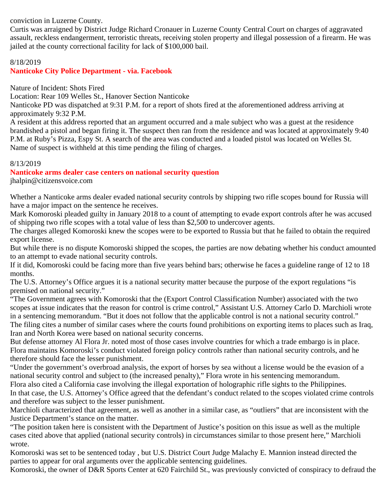conviction in Luzerne County.

Curtis was arraigned by District Judge Richard Cronauer in Luzerne County Central Court on charges of aggravated assault, reckless endangerment, terroristic threats, receiving stolen property and illegal possession of a firearm. He was jailed at the county correctional facility for lack of \$100,000 bail.

### 8/18/2019 **Nanticoke City Police Department - via. Facebook**

Nature of Incident: Shots Fired

Location: Rear 109 Welles St., Hanover Section Nanticoke

Nanticoke PD was dispatched at 9:31 P.M. for a report of shots fired at the aforementioned address arriving at approximately 9:32 P.M.

A resident at this address reported that an argument occurred and a male subject who was a guest at the residence brandished a pistol and began firing it. The suspect then ran from the residence and was located at approximately 9:40 P.M. at Ruby's Pizza, Espy St. A search of the area was conducted and a loaded pistol was located on Welles St. Name of suspect is withheld at this time pending the filing of charges.

### 8/13/2019

### **Nanticoke arms dealer case centers on national security question**

jhalpin@citizensvoice.com

Whether a Nanticoke arms dealer evaded national security controls by shipping two rifle scopes bound for Russia will have a major impact on the sentence he receives.

Mark Komoroski pleaded guilty in January 2018 to a count of attempting to evade export controls after he was accused of shipping two rifle scopes with a total value of less than \$2,500 to undercover agents.

The charges alleged Komoroski knew the scopes were to be exported to Russia but that he failed to obtain the required export license.

But while there is no dispute Komoroski shipped the scopes, the parties are now debating whether his conduct amounted to an attempt to evade national security controls.

If it did, Komoroski could be facing more than five years behind bars; otherwise he faces a guideline range of 12 to 18 months.

The U.S. Attorney's Office argues it is a national security matter because the purpose of the export regulations "is premised on national security."

"The Government agrees with Komoroski that the (Export Control Classification Number) associated with the two scopes at issue indicates that the reason for control is crime control," Assistant U.S. Attorney Carlo D. Marchioli wrote in a sentencing memorandum. "But it does not follow that the applicable control is not a national security control." The filing cites a number of similar cases where the courts found prohibitions on exporting items to places such as Iraq, Iran and North Korea were based on national security concerns.

But defense attorney Al Flora Jr. noted most of those cases involve countries for which a trade embargo is in place. Flora maintains Komoroski's conduct violated foreign policy controls rather than national security controls, and he therefore should face the lesser punishment.

"Under the government's overbroad analysis, the export of horses by sea without a license would be the evasion of a national security control and subject to (the increased penalty)," Flora wrote in his sentencing memorandum.

Flora also cited a California case involving the illegal exportation of holographic rifle sights to the Philippines.

In that case, the U.S. Attorney's Office agreed that the defendant's conduct related to the scopes violated crime controls and therefore was subject to the lesser punishment.

Marchioli characterized that agreement, as well as another in a similar case, as "outliers" that are inconsistent with the Justice Department's stance on the matter.

"The position taken here is consistent with the Department of Justice's position on this issue as well as the multiple cases cited above that applied (national security controls) in circumstances similar to those present here," Marchioli wrote.

Komoroski was set to be sentenced today , but U.S. District Court Judge Malachy E. Mannion instead directed the parties to appear for oral arguments over the applicable sentencing guidelines.

Komoroski, the owner of D&R Sports Center at 620 Fairchild St., was previously convicted of conspiracy to defraud the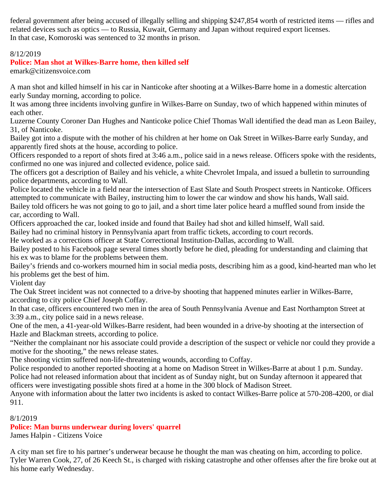federal government after being accused of illegally selling and shipping \$247,854 worth of restricted items — rifles and related devices such as optics — to Russia, Kuwait, Germany and Japan without required export licenses. In that case, Komoroski was sentenced to 32 months in prison.

### 8/12/2019

## **Police: Man shot at Wilkes-Barre home, then killed self**

emark@citizensvoice.com

A man shot and killed himself in his car in Nanticoke after shooting at a Wilkes-Barre home in a domestic altercation early Sunday morning, according to police.

It was among three incidents involving gunfire in Wilkes-Barre on Sunday, two of which happened within minutes of each other.

Luzerne County Coroner Dan Hughes and Nanticoke police Chief Thomas Wall identified the dead man as Leon Bailey, 31, of Nanticoke.

Bailey got into a dispute with the mother of his children at her home on Oak Street in Wilkes-Barre early Sunday, and apparently fired shots at the house, according to police.

Officers responded to a report of shots fired at 3:46 a.m., police said in a news release. Officers spoke with the residents, confirmed no one was injured and collected evidence, police said.

The officers got a description of Bailey and his vehicle, a white Chevrolet Impala, and issued a bulletin to surrounding police departments, according to Wall.

Police located the vehicle in a field near the intersection of East Slate and South Prospect streets in Nanticoke. Officers attempted to communicate with Bailey, instructing him to lower the car window and show his hands, Wall said.

Bailey told officers he was not going to go to jail, and a short time later police heard a muffled sound from inside the car, according to Wall.

Officers approached the car, looked inside and found that Bailey had shot and killed himself, Wall said.

Bailey had no criminal history in Pennsylvania apart from traffic tickets, according to court records.

He worked as a corrections officer at State Correctional Institution-Dallas, according to Wall.

Bailey posted to his Facebook page several times shortly before he died, pleading for understanding and claiming that his ex was to blame for the problems between them.

Bailey's friends and co-workers mourned him in social media posts, describing him as a good, kind-hearted man who let his problems get the best of him.

Violent day

The Oak Street incident was not connected to a drive-by shooting that happened minutes earlier in Wilkes-Barre, according to city police Chief Joseph Coffay.

In that case, officers encountered two men in the area of South Pennsylvania Avenue and East Northampton Street at 3:39 a.m., city police said in a news release.

One of the men, a 41-year-old Wilkes-Barre resident, had been wounded in a drive-by shooting at the intersection of Hazle and Blackman streets, according to police.

"Neither the complainant nor his associate could provide a description of the suspect or vehicle nor could they provide a motive for the shooting," the news release states.

The shooting victim suffered non-life-threatening wounds, according to Coffay.

Police responded to another reported shooting at a home on Madison Street in Wilkes-Barre at about 1 p.m. Sunday. Police had not released information about that incident as of Sunday night, but on Sunday afternoon it appeared that officers were investigating possible shots fired at a home in the 300 block of Madison Street.

Anyone with information about the latter two incidents is asked to contact Wilkes-Barre police at 570-208-4200, or dial 911.

8/1/2019

## **Police: Man burns underwear during lovers' quarrel**

James Halpin - Citizens Voice

A city man set fire to his partner's underwear because he thought the man was cheating on him, according to police. Tyler Warren Cook, 27, of 26 Keech St., is charged with risking catastrophe and other offenses after the fire broke out at his home early Wednesday.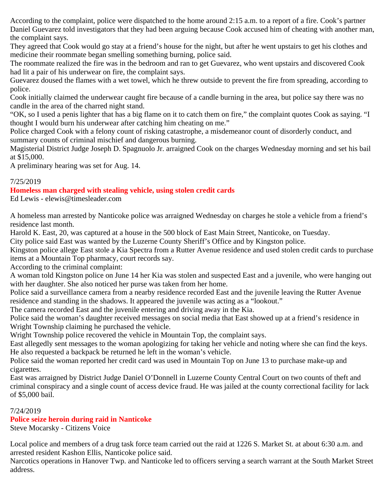According to the complaint, police were dispatched to the home around 2:15 a.m. to a report of a fire. Cook's partner Daniel Guevarez told investigators that they had been arguing because Cook accused him of cheating with another man, the complaint says.

They agreed that Cook would go stay at a friend's house for the night, but after he went upstairs to get his clothes and medicine their roommate began smelling something burning, police said.

The roommate realized the fire was in the bedroom and ran to get Guevarez, who went upstairs and discovered Cook had lit a pair of his underwear on fire, the complaint says.

Guevarez doused the flames with a wet towel, which he threw outside to prevent the fire from spreading, according to police.

Cook initially claimed the underwear caught fire because of a candle burning in the area, but police say there was no candle in the area of the charred night stand.

"OK, so I used a penis lighter that has a big flame on it to catch them on fire," the complaint quotes Cook as saying. "I thought I would burn his underwear after catching him cheating on me."

Police charged Cook with a felony count of risking catastrophe, a misdemeanor count of disorderly conduct, and summary counts of criminal mischief and dangerous burning.

Magisterial District Judge Joseph D. Spagnuolo Jr. arraigned Cook on the charges Wednesday morning and set his bail at \$15,000.

A preliminary hearing was set for Aug. 14.

## 7/25/2019

## **Homeless man charged with stealing vehicle, using stolen credit cards**

Ed Lewis - elewis@timesleader.com

A homeless man arrested by Nanticoke police was arraigned Wednesday on charges he stole a vehicle from a friend's residence last month.

Harold K. East, 20, was captured at a house in the 500 block of East Main Street, Nanticoke, on Tuesday.

City police said East was wanted by the Luzerne County Sheriff's Office and by Kingston police.

Kingston police allege East stole a Kia Spectra from a Rutter Avenue residence and used stolen credit cards to purchase items at a Mountain Top pharmacy, court records say.

According to the criminal complaint:

A woman told Kingston police on June 14 her Kia was stolen and suspected East and a juvenile, who were hanging out with her daughter. She also noticed her purse was taken from her home.

Police said a surveillance camera from a nearby residence recorded East and the juvenile leaving the Rutter Avenue residence and standing in the shadows. It appeared the juvenile was acting as a "lookout."

The camera recorded East and the juvenile entering and driving away in the Kia.

Police said the woman's daughter received messages on social media that East showed up at a friend's residence in Wright Township claiming he purchased the vehicle.

Wright Township police recovered the vehicle in Mountain Top, the complaint says.

East allegedly sent messages to the woman apologizing for taking her vehicle and noting where she can find the keys. He also requested a backpack be returned he left in the woman's vehicle.

Police said the woman reported her credit card was used in Mountain Top on June 13 to purchase make-up and cigarettes.

East was arraigned by District Judge Daniel O'Donnell in Luzerne County Central Court on two counts of theft and criminal conspiracy and a single count of access device fraud. He was jailed at the county correctional facility for lack of \$5,000 bail.

## 7/24/2019

## **Police seize heroin during raid in Nanticoke**

Steve Mocarsky - Citizens Voice

Local police and members of a drug task force team carried out the raid at 1226 S. Market St. at about 6:30 a.m. and arrested resident Kashon Ellis, Nanticoke police said.

Narcotics operations in Hanover Twp. and Nanticoke led to officers serving a search warrant at the South Market Street address.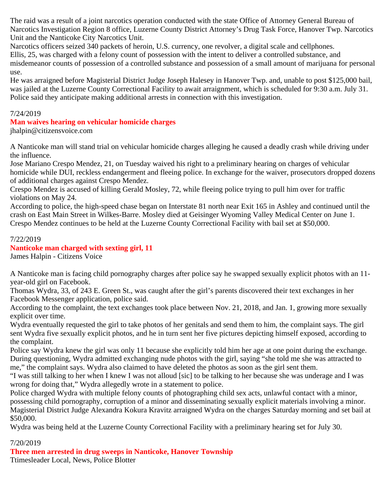The raid was a result of a joint narcotics operation conducted with the state Office of Attorney General Bureau of Narcotics Investigation Region 8 office, Luzerne County District Attorney's Drug Task Force, Hanover Twp. Narcotics Unit and the Nanticoke City Narcotics Unit.

Narcotics officers seized 340 packets of heroin, U.S. currency, one revolver, a digital scale and cellphones. Ellis, 25, was charged with a felony count of possession with the intent to deliver a controlled substance, and misdemeanor counts of possession of a controlled substance and possession of a small amount of marijuana for personal use.

He was arraigned before Magisterial District Judge Joseph Halesey in Hanover Twp. and, unable to post \$125,000 bail, was jailed at the Luzerne County Correctional Facility to await arraignment, which is scheduled for 9:30 a.m. July 31. Police said they anticipate making additional arrests in connection with this investigation.

### 7/24/2019

#### **Man waives hearing on vehicular homicide charges** jhalpin@citizensvoice.com

A Nanticoke man will stand trial on vehicular homicide charges alleging he caused a deadly crash while driving under the influence.

Jose Mariano Crespo Mendez, 21, on Tuesday waived his right to a preliminary hearing on charges of vehicular homicide while DUI, reckless endangerment and fleeing police. In exchange for the waiver, prosecutors dropped dozens of additional charges against Crespo Mendez.

Crespo Mendez is accused of killing Gerald Mosley, 72, while fleeing police trying to pull him over for traffic violations on May 24.

According to police, the high-speed chase began on Interstate 81 north near Exit 165 in Ashley and continued until the crash on East Main Street in Wilkes-Barre. Mosley died at Geisinger Wyoming Valley Medical Center on June 1. Crespo Mendez continues to be held at the Luzerne County Correctional Facility with bail set at \$50,000.

### 7/22/2019 **Nanticoke man charged with sexting girl, 11**

James Halpin - Citizens Voice

A Nanticoke man is facing child pornography charges after police say he swapped sexually explicit photos with an 11 year-old girl on Facebook.

Thomas Wydra, 33, of 243 E. Green St., was caught after the girl's parents discovered their text exchanges in her Facebook Messenger application, police said.

According to the complaint, the text exchanges took place between Nov. 21, 2018, and Jan. 1, growing more sexually explicit over time.

Wydra eventually requested the girl to take photos of her genitals and send them to him, the complaint says. The girl sent Wydra five sexually explicit photos, and he in turn sent her five pictures depicting himself exposed, according to the complaint.

Police say Wydra knew the girl was only 11 because she explicitly told him her age at one point during the exchange. During questioning, Wydra admitted exchanging nude photos with the girl, saying "she told me she was attracted to me," the complaint says. Wydra also claimed to have deleted the photos as soon as the girl sent them.

"I was still talking to her when I knew I was not alloud [sic] to be talking to her because she was underage and I was wrong for doing that," Wydra allegedly wrote in a statement to police.

Police charged Wydra with multiple felony counts of photographing child sex acts, unlawful contact with a minor, possessing child pornography, corruption of a minor and disseminating sexually explicit materials involving a minor. Magisterial District Judge Alexandra Kokura Kravitz arraigned Wydra on the charges Saturday morning and set bail at \$50,000.

Wydra was being held at the Luzerne County Correctional Facility with a preliminary hearing set for July 30.

### 7/20/2019

**Three men arrested in drug sweeps in Nanticoke, Hanover Township** Ttimesleader Local, News, Police Blotter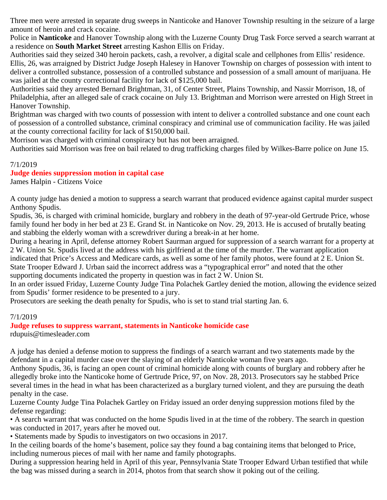Three men were arrested in separate drug sweeps in Nanticoke and Hanover Township resulting in the seizure of a large amount of heroin and crack cocaine.

Police in **Nanticoke** and Hanover Township along with the Luzerne County Drug Task Force served a search warrant at a residence on **South Market Street** arresting Kashon Ellis on Friday.

Authorities said they seized 340 heroin packets, cash, a revolver, a digital scale and cellphones from Ellis' residence. Ellis, 26, was arraigned by District Judge Joseph Halesey in Hanover Township on charges of possession with intent to deliver a controlled substance, possession of a controlled substance and possession of a small amount of marijuana. He was jailed at the county correctional facility for lack of \$125,000 bail.

Authorities said they arrested Bernard Brightman, 31, of Center Street, Plains Township, and Nassir Morrison, 18, of Philadelphia, after an alleged sale of crack cocaine on July 13. Brightman and Morrison were arrested on High Street in Hanover Township.

Brightman was charged with two counts of possession with intent to deliver a controlled substance and one count each of possession of a controlled substance, criminal conspiracy and criminal use of communication facility. He was jailed at the county correctional facility for lack of \$150,000 bail.

Morrison was charged with criminal conspiracy but has not been arraigned.

Authorities said Morrison was free on bail related to drug trafficking charges filed by Wilkes-Barre police on June 15.

### 7/1/2019

### **Judge denies suppression motion in capital case**

James Halpin - Citizens Voice

A county judge has denied a motion to suppress a search warrant that produced evidence against capital murder suspect Anthony Spudis.

Spudis, 36, is charged with criminal homicide, burglary and robbery in the death of 97-year-old Gertrude Price, whose family found her body in her bed at 23 E. Grand St. in Nanticoke on Nov. 29, 2013. He is accused of brutally beating and stabbing the elderly woman with a screwdriver during a break-in at her home.

During a hearing in April, defense attorney Robert Saurman argued for suppression of a search warrant for a property at 2 W. Union St. Spudis lived at the address with his girlfriend at the time of the murder. The warrant application indicated that Price's Access and Medicare cards, as well as some of her family photos, were found at 2 E. Union St. State Trooper Edward J. Urban said the incorrect address was a "typographical error" and noted that the other supporting documents indicated the property in question was in fact 2 W. Union St.

In an order issued Friday, Luzerne County Judge Tina Polachek Gartley denied the motion, allowing the evidence seized from Spudis' former residence to be presented to a jury.

Prosecutors are seeking the death penalty for Spudis, who is set to stand trial starting Jan. 6.

### 7/1/2019

### **Judge refuses to suppress warrant, statements in Nanticoke homicide case** rdupuis@timesleader.com

A judge has denied a defense motion to suppress the findings of a search warrant and two statements made by the defendant in a capital murder case over the slaying of an elderly Nanticoke woman five years ago.

Anthony Spudis, 36, is facing an open count of criminal homicide along with counts of burglary and robbery after he allegedly broke into the Nanticoke home of Gertrude Price, 97, on Nov. 28, 2013. Prosecutors say he stabbed Price several times in the head in what has been characterized as a burglary turned violent, and they are pursuing the death penalty in the case.

Luzerne County Judge Tina Polachek Gartley on Friday issued an order denying suppression motions filed by the defense regarding:

• A search warrant that was conducted on the home Spudis lived in at the time of the robbery. The search in question was conducted in 2017, years after he moved out.

• Statements made by Spudis to investigators on two occasions in 2017.

In the ceiling boards of the home's basement, police say they found a bag containing items that belonged to Price, including numerous pieces of mail with her name and family photographs.

During a suppression hearing held in April of this year, Pennsylvania State Trooper Edward Urban testified that while the bag was missed during a search in 2014, photos from that search show it poking out of the ceiling.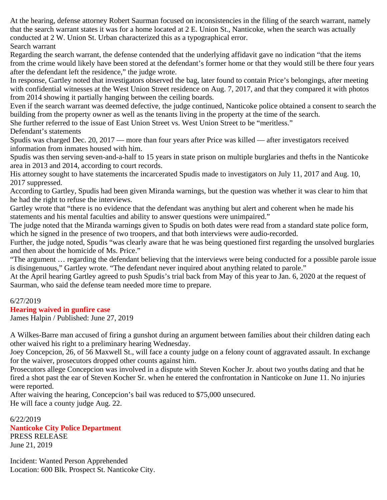At the hearing, defense attorney Robert Saurman focused on inconsistencies in the filing of the search warrant, namely that the search warrant states it was for a home located at 2 E. Union St., Nanticoke, when the search was actually conducted at 2 W. Union St. Urban characterized this as a typographical error.

Search warrant

Regarding the search warrant, the defense contended that the underlying affidavit gave no indication "that the items from the crime would likely have been stored at the defendant's former home or that they would still be there four years after the defendant left the residence," the judge wrote.

In response, Gartley noted that investigators observed the bag, later found to contain Price's belongings, after meeting with confidential witnesses at the West Union Street residence on Aug. 7, 2017, and that they compared it with photos from 2014 showing it partially hanging between the ceiling boards.

Even if the search warrant was deemed defective, the judge continued, Nanticoke police obtained a consent to search the building from the property owner as well as the tenants living in the property at the time of the search.

She further referred to the issue of East Union Street vs. West Union Street to be "meritless."

Defendant's statements

Spudis was charged Dec. 20, 2017 — more than four years after Price was killed — after investigators received information from inmates housed with him.

Spudis was then serving seven-and-a-half to 15 years in state prison on multiple burglaries and thefts in the Nanticoke area in 2013 and 2014, according to court records.

His attorney sought to have statements the incarcerated Spudis made to investigators on July 11, 2017 and Aug. 10, 2017 suppressed.

According to Gartley, Spudis had been given Miranda warnings, but the question was whether it was clear to him that he had the right to refuse the interviews.

Gartley wrote that "there is no evidence that the defendant was anything but alert and coherent when he made his statements and his mental faculties and ability to answer questions were unimpaired."

The judge noted that the Miranda warnings given to Spudis on both dates were read from a standard state police form, which he signed in the presence of two troopers, and that both interviews were audio-recorded.

Further, the judge noted, Spudis "was clearly aware that he was being questioned first regarding the unsolved burglaries and then about the homicide of Ms. Price."

"The argument … regarding the defendant believing that the interviews were being conducted for a possible parole issue is disingenuous," Gartley wrote. "The defendant never inquired about anything related to parole."

At the April hearing Gartley agreed to push Spudis's trial back from May of this year to Jan. 6, 2020 at the request of Saurman, who said the defense team needed more time to prepare.

## 6/27/2019

## **Hearing waived in gunfire case**

James Halpin / Published: June 27, 2019

A Wilkes-Barre man accused of firing a gunshot during an argument between families about their children dating each other waived his right to a preliminary hearing Wednesday.

Joey Concepcion, 26, of 56 Maxwell St., will face a county judge on a felony count of aggravated assault. In exchange for the waiver, prosecutors dropped other counts against him.

Prosecutors allege Concepcion was involved in a dispute with Steven Kocher Jr. about two youths dating and that he fired a shot past the ear of Steven Kocher Sr. when he entered the confrontation in Nanticoke on June 11. No injuries were reported.

After waiving the hearing, Concepcion's bail was reduced to \$75,000 unsecured. He will face a county judge Aug. 22.

6/22/2019 **Nanticoke City Police Department** PRESS RELEASE June 21, 2019

Incident: Wanted Person Apprehended Location: 600 Blk. Prospect St. Nanticoke City.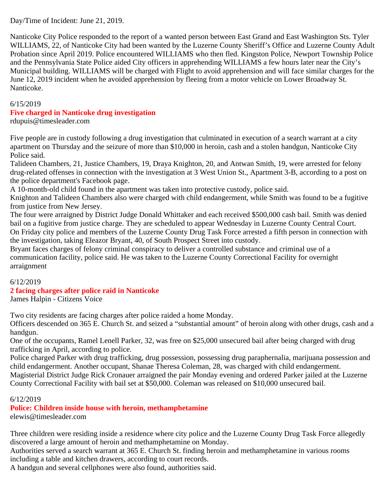Day/Time of Incident: June 21, 2019.

Nanticoke City Police responded to the report of a wanted person between East Grand and East Washington Sts. Tyler WILLIAMS, 22, of Nanticoke City had been wanted by the Luzerne County Sheriff's Office and Luzerne County Adult Probation since April 2019. Police encountered WILLIAMS who then fled. Kingston Police, Newport Township Police and the Pennsylvania State Police aided City officers in apprehending WILLIAMS a few hours later near the City's Municipal building. WILLIAMS will be charged with Flight to avoid apprehension and will face similar charges for the June 12, 2019 incident when he avoided apprehension by fleeing from a motor vehicle on Lower Broadway St. Nanticoke.

### 6/15/2019

### **Five charged in Nanticoke drug investigation**

rdupuis@timesleader.com

Five people are in custody following a drug investigation that culminated in execution of a search warrant at a city apartment on Thursday and the seizure of more than \$10,000 in heroin, cash and a stolen handgun, Nanticoke City Police said.

Talideen Chambers, 21, Justice Chambers, 19, Draya Knighton, 20, and Antwan Smith, 19, were arrested for felony drug-related offenses in connection with the investigation at 3 West Union St., Apartment 3-B, according to a post on the police department's Facebook page.

A 10-month-old child found in the apartment was taken into protective custody, police said.

Knighton and Talideen Chambers also were charged with child endangerment, while Smith was found to be a fugitive from justice from New Jersey.

The four were arraigned by District Judge Donald Whittaker and each received \$500,000 cash bail. Smith was denied bail on a fugitive from justice charge. They are scheduled to appear Wednesday in Luzerne County Central Court.

On Friday city police and members of the Luzerne County Drug Task Force arrested a fifth person in connection with the investigation, taking Eleazor Bryant, 40, of South Prospect Street into custody.

Bryant faces charges of felony criminal conspiracy to deliver a controlled substance and criminal use of a communication facility, police said. He was taken to the Luzerne County Correctional Facility for overnight arraignment

6/12/2019

## **2 facing charges after police raid in Nanticoke**

James Halpin - Citizens Voice

Two city residents are facing charges after police raided a home Monday.

Officers descended on 365 E. Church St. and seized a "substantial amount" of heroin along with other drugs, cash and a handgun.

One of the occupants, Ramel Lenell Parker, 32, was free on \$25,000 unsecured bail after being charged with drug trafficking in April, according to police.

Police charged Parker with drug trafficking, drug possession, possessing drug paraphernalia, marijuana possession and child endangerment. Another occupant, Shanae Theresa Coleman, 28, was charged with child endangerment. Magisterial District Judge Rick Cronauer arraigned the pair Monday evening and ordered Parker jailed at the Luzerne County Correctional Facility with bail set at \$50,000. Coleman was released on \$10,000 unsecured bail.

### 6/12/2019

**Police: Children inside house with heroin, methamphetamine** elewis@timesleader.com

Three children were residing inside a residence where city police and the Luzerne County Drug Task Force allegedly discovered a large amount of heroin and methamphetamine on Monday.

Authorities served a search warrant at 365 E. Church St. finding heroin and methamphetamine in various rooms including a table and kitchen drawers, according to court records.

A handgun and several cellphones were also found, authorities said.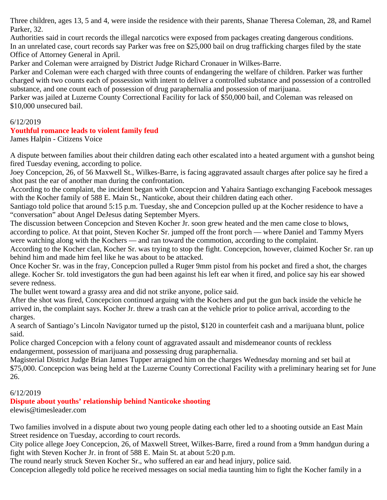Three children, ages 13, 5 and 4, were inside the residence with their parents, Shanae Theresa Coleman, 28, and Ramel Parker, 32.

Authorities said in court records the illegal narcotics were exposed from packages creating dangerous conditions. In an unrelated case, court records say Parker was free on \$25,000 bail on drug trafficking charges filed by the state Office of Attorney General in April.

Parker and Coleman were arraigned by District Judge Richard Cronauer in Wilkes-Barre.

Parker and Coleman were each charged with three counts of endangering the welfare of children. Parker was further charged with two counts each of possession with intent to deliver a controlled substance and possession of a controlled substance, and one count each of possession of drug paraphernalia and possession of marijuana.

Parker was jailed at Luzerne County Correctional Facility for lack of \$50,000 bail, and Coleman was released on \$10,000 unsecured bail.

### 6/12/2019

## **Youthful romance leads to violent family feud**

James Halpin - Citizens Voice

A dispute between families about their children dating each other escalated into a heated argument with a gunshot being fired Tuesday evening, according to police.

Joey Concepcion, 26, of 56 Maxwell St., Wilkes-Barre, is facing aggravated assault charges after police say he fired a shot past the ear of another man during the confrontation.

According to the complaint, the incident began with Concepcion and Yahaira Santiago exchanging Facebook messages with the Kocher family of 588 E. Main St., Nanticoke, about their children dating each other.

Santiago told police that around 5:15 p.m. Tuesday, she and Concepcion pulled up at the Kocher residence to have a "conversation" about Angel DeJesus dating September Myers.

The discussion between Concepcion and Steven Kocher Jr. soon grew heated and the men came close to blows, according to police. At that point, Steven Kocher Sr. jumped off the front porch — where Daniel and Tammy Myers were watching along with the Kochers — and ran toward the commotion, according to the complaint.

According to the Kocher clan, Kocher Sr. was trying to stop the fight. Concepcion, however, claimed Kocher Sr. ran up behind him and made him feel like he was about to be attacked.

Once Kocher Sr. was in the fray, Concepcion pulled a Ruger 9mm pistol from his pocket and fired a shot, the charges allege. Kocher Sr. told investigators the gun had been against his left ear when it fired, and police say his ear showed severe redness.

The bullet went toward a grassy area and did not strike anyone, police said.

After the shot was fired, Concepcion continued arguing with the Kochers and put the gun back inside the vehicle he arrived in, the complaint says. Kocher Jr. threw a trash can at the vehicle prior to police arrival, according to the charges.

A search of Santiago's Lincoln Navigator turned up the pistol, \$120 in counterfeit cash and a marijuana blunt, police said.

Police charged Concepcion with a felony count of aggravated assault and misdemeanor counts of reckless endangerment, possession of marijuana and possessing drug paraphernalia.

Magisterial District Judge Brian James Tupper arraigned him on the charges Wednesday morning and set bail at \$75,000. Concepcion was being held at the Luzerne County Correctional Facility with a preliminary hearing set for June 26.

### 6/12/2019

**Dispute about youths' relationship behind Nanticoke shooting**

elewis@timesleader.com

Two families involved in a dispute about two young people dating each other led to a shooting outside an East Main Street residence on Tuesday, according to court records.

City police allege Joey Concepcion, 26, of Maxwell Street, Wilkes-Barre, fired a round from a 9mm handgun during a fight with Steven Kocher Jr. in front of 588 E. Main St. at about 5:20 p.m.

The round nearly struck Steven Kocher Sr., who suffered an ear and head injury, police said.

Concepcion allegedly told police he received messages on social media taunting him to fight the Kocher family in a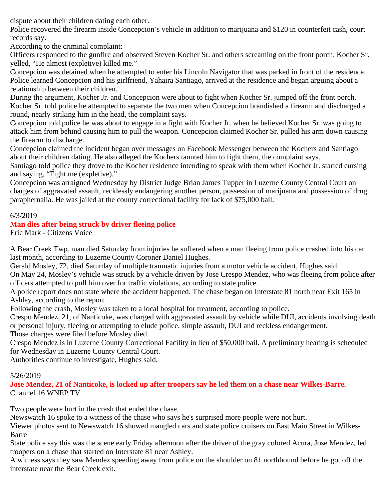dispute about their children dating each other.

Police recovered the firearm inside Concepcion's vehicle in addition to marijuana and \$120 in counterfeit cash, court records say.

According to the criminal complaint:

Officers responded to the gunfire and observed Steven Kocher Sr. and others screaming on the front porch. Kocher Sr. yelled, "He almost (expletive) killed me."

Concepcion was detained when he attempted to enter his Lincoln Navigator that was parked in front of the residence. Police learned Concepcion and his girlfriend, Yahaira Santiago, arrived at the residence and began arguing about a relationship between their children.

During the argument, Kocher Jr. and Concepcion were about to fight when Kocher Sr. jumped off the front porch. Kocher Sr. told police he attempted to separate the two men when Concepcion brandished a firearm and discharged a round, nearly striking him in the head, the complaint says.

Concepcion told police he was about to engage in a fight with Kocher Jr. when he believed Kocher Sr. was going to attack him from behind causing him to pull the weapon. Concepcion claimed Kocher Sr. pulled his arm down causing the firearm to discharge.

Concepcion claimed the incident began over messages on Facebook Messenger between the Kochers and Santiago about their children dating. He also alleged the Kochers taunted him to fight them, the complaint says.

Santiago told police they drove to the Kocher residence intending to speak with them when Kocher Jr. started cursing and saying, "Fight me (expletive)."

Concepcion was arraigned Wednesday by District Judge Brian James Tupper in Luzerne County Central Court on charges of aggravated assault, recklessly endangering another person, possession of marijuana and possession of drug paraphernalia. He was jailed at the county correctional facility for lack of \$75,000 bail.

### 6/3/2019

## **Man dies after being struck by driver fleeing police**

Eric Mark - Citizens Voice

A Bear Creek Twp. man died Saturday from injuries he suffered when a man fleeing from police crashed into his car last month, according to Luzerne County Coroner Daniel Hughes.

Gerald Mosley, 72, died Saturday of multiple traumatic injuries from a motor vehicle accident, Hughes said.

On May 24, Mosley's vehicle was struck by a vehicle driven by Jose Crespo Mendez, who was fleeing from police after officers attempted to pull him over for traffic violations, according to state police.

A police report does not state where the accident happened. The chase began on Interstate 81 north near Exit 165 in Ashley, according to the report.

Following the crash, Mosley was taken to a local hospital for treatment, according to police.

Crespo Mendez, 21, of Nanticoke, was charged with aggravated assault by vehicle while DUI, accidents involving death or personal injury, fleeing or attempting to elude police, simple assault, DUI and reckless endangerment. Those charges were filed before Mosley died.

Crespo Mendez is in Luzerne County Correctional Facility in lieu of \$50,000 bail. A preliminary hearing is scheduled for Wednesday in Luzerne County Central Court.

Authorities continue to investigate, Hughes said.

### 5/26/2019

**Jose Mendez, 21 of Nanticoke, is locked up after troopers say he led them on a chase near Wilkes-Barre.** Channel 16 WNEP TV

Two people were hurt in the crash that ended the chase.

Newswatch 16 spoke to a witness of the chase who says he's surprised more people were not hurt.

Viewer photos sent to Newswatch 16 showed mangled cars and state police cruisers on East Main Street in Wilkes-Barre

State police say this was the scene early Friday afternoon after the driver of the gray colored Acura, Jose Mendez, led troopers on a chase that started on Interstate 81 near Ashley.

A witness says they saw Mendez speeding away from police on the shoulder on 81 northbound before he got off the interstate near the Bear Creek exit.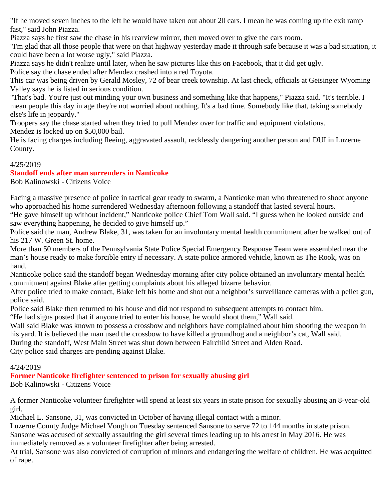"If he moved seven inches to the left he would have taken out about 20 cars. I mean he was coming up the exit ramp fast," said John Piazza.

Piazza says he first saw the chase in his rearview mirror, then moved over to give the cars room.

"I'm glad that all those people that were on that highway yesterday made it through safe because it was a bad situation, it could have been a lot worse ugly," said Piazza.

Piazza says he didn't realize until later, when he saw pictures like this on Facebook, that it did get ugly.

Police say the chase ended after Mendez crashed into a red Toyota.

This car was being driven by Gerald Mosley, 72 of bear creek township. At last check, officials at Geisinger Wyoming Valley says he is listed in serious condition.

"That's bad. You're just out minding your own business and something like that happens," Piazza said. "It's terrible. I mean people this day in age they're not worried about nothing. It's a bad time. Somebody like that, taking somebody else's life in jeopardy."

Troopers say the chase started when they tried to pull Mendez over for traffic and equipment violations. Mendez is locked up on \$50,000 bail.

He is facing charges including fleeing, aggravated assault, recklessly dangering another person and DUI in Luzerne County.

## 4/25/2019

## **Standoff ends after man surrenders in Nanticoke**

Bob Kalinowski - Citizens Voice

Facing a massive presence of police in tactical gear ready to swarm, a Nanticoke man who threatened to shoot anyone who approached his home surrendered Wednesday afternoon following a standoff that lasted several hours. "He gave himself up without incident," Nanticoke police Chief Tom Wall said. "I guess when he looked outside and

saw everything happening, he decided to give himself up."

Police said the man, Andrew Blake, 31, was taken for an involuntary mental health commitment after he walked out of his 217 W. Green St. home.

More than 50 members of the Pennsylvania State Police Special Emergency Response Team were assembled near the man's house ready to make forcible entry if necessary. A state police armored vehicle, known as The Rook, was on hand.

Nanticoke police said the standoff began Wednesday morning after city police obtained an involuntary mental health commitment against Blake after getting complaints about his alleged bizarre behavior.

After police tried to make contact, Blake left his home and shot out a neighbor's surveillance cameras with a pellet gun, police said.

Police said Blake then returned to his house and did not respond to subsequent attempts to contact him.

"He had signs posted that if anyone tried to enter his house, he would shoot them," Wall said.

Wall said Blake was known to possess a crossbow and neighbors have complained about him shooting the weapon in his yard. It is believed the man used the crossbow to have killed a groundhog and a neighbor's cat, Wall said.

During the standoff, West Main Street was shut down between Fairchild Street and Alden Road.

City police said charges are pending against Blake.

## 4/24/2019

## **Former Nanticoke firefighter sentenced to prison for sexually abusing girl**

Bob Kalinowski - Citizens Voice

A former Nanticoke volunteer firefighter will spend at least six years in state prison for sexually abusing an 8-year-old girl.

Michael L. Sansone, 31, was convicted in October of having illegal contact with a minor.

Luzerne County Judge Michael Vough on Tuesday sentenced Sansone to serve 72 to 144 months in state prison. Sansone was accused of sexually assaulting the girl several times leading up to his arrest in May 2016. He was immediately removed as a volunteer firefighter after being arrested.

At trial, Sansone was also convicted of corruption of minors and endangering the welfare of children. He was acquitted of rape.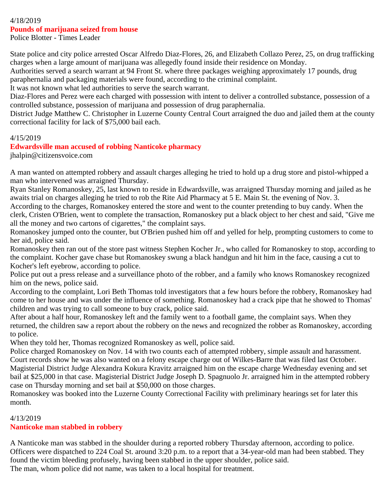## 4/18/2019 **Pounds of marijuana seized from house**

Police Blotter - Times Leader

State police and city police arrested Oscar Alfredo Diaz-Flores, 26, and Elizabeth Collazo Perez, 25, on drug trafficking charges when a large amount of marijuana was allegedly found inside their residence on Monday.

Authorities served a search warrant at 94 Front St. where three packages weighing approximately 17 pounds, drug paraphernalia and packaging materials were found, according to the criminal complaint.

It was not known what led authorities to serve the search warrant.

Diaz-Flores and Perez were each charged with possession with intent to deliver a controlled substance, possession of a controlled substance, possession of marijuana and possession of drug paraphernalia.

District Judge Matthew C. Christopher in Luzerne County Central Court arraigned the duo and jailed them at the county correctional facility for lack of \$75,000 bail each.

### 4/15/2019

### **Edwardsville man accused of robbing Nanticoke pharmacy**

jhalpin@citizensvoice.com

A man wanted on attempted robbery and assault charges alleging he tried to hold up a drug store and pistol-whipped a man who intervened was arraigned Thursday.

Ryan Stanley Romanoskey, 25, last known to reside in Edwardsville, was arraigned Thursday morning and jailed as he awaits trial on charges alleging he tried to rob the Rite Aid Pharmacy at 5 E. Main St. the evening of Nov. 3.

According to the charges, Romanoskey entered the store and went to the counter pretending to buy candy. When the clerk, Cristen O'Brien, went to complete the transaction, Romanoskey put a black object to her chest and said, "Give me all the money and two cartons of cigarettes," the complaint says.

Romanoskey jumped onto the counter, but O'Brien pushed him off and yelled for help, prompting customers to come to her aid, police said.

Romanoskey then ran out of the store past witness Stephen Kocher Jr., who called for Romanoskey to stop, according to the complaint. Kocher gave chase but Romanoskey swung a black handgun and hit him in the face, causing a cut to Kocher's left eyebrow, according to police.

Police put out a press release and a surveillance photo of the robber, and a family who knows Romanoskey recognized him on the news, police said.

According to the complaint, Lori Beth Thomas told investigators that a few hours before the robbery, Romanoskey had come to her house and was under the influence of something. Romanoskey had a crack pipe that he showed to Thomas' children and was trying to call someone to buy crack, police said.

After about a half hour, Romanoskey left and the family went to a football game, the complaint says. When they returned, the children saw a report about the robbery on the news and recognized the robber as Romanoskey, according to police.

When they told her, Thomas recognized Romanoskey as well, police said.

Police charged Romanoskey on Nov. 14 with two counts each of attempted robbery, simple assault and harassment. Court records show he was also wanted on a felony escape charge out of Wilkes-Barre that was filed last October. Magisterial District Judge Alexandra Kokura Kravitz arraigned him on the escape charge Wednesday evening and set bail at \$25,000 in that case. Magisterial District Judge Joseph D. Spagnuolo Jr. arraigned him in the attempted robbery case on Thursday morning and set bail at \$50,000 on those charges.

Romanoskey was booked into the Luzerne County Correctional Facility with preliminary hearings set for later this month.

### 4/13/2019 **Nanticoke man stabbed in robbery**

A Nanticoke man was stabbed in the shoulder during a reported robbery Thursday afternoon, according to police. Officers were dispatched to 224 Coal St. around 3:20 p.m. to a report that a 34-year-old man had been stabbed. They found the victim bleeding profusely, having been stabbed in the upper shoulder, police said. The man, whom police did not name, was taken to a local hospital for treatment.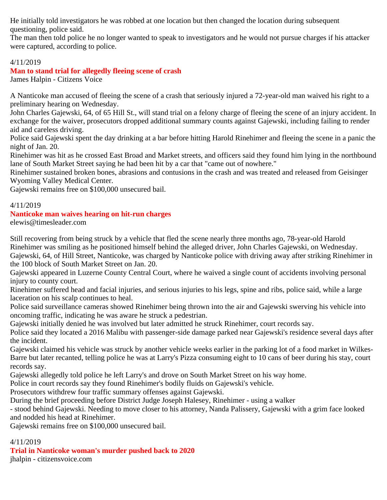He initially told investigators he was robbed at one location but then changed the location during subsequent questioning, police said.

The man then told police he no longer wanted to speak to investigators and he would not pursue charges if his attacker were captured, according to police.

### 4/11/2019

### **Man to stand trial for allegedly fleeing scene of crash**

James Halpin - Citizens Voice

A Nanticoke man accused of fleeing the scene of a crash that seriously injured a 72-year-old man waived his right to a preliminary hearing on Wednesday.

John Charles Gajewski, 64, of 65 Hill St., will stand trial on a felony charge of fleeing the scene of an injury accident. In exchange for the waiver, prosecutors dropped additional summary counts against Gajewski, including failing to render aid and careless driving.

Police said Gajewski spent the day drinking at a bar before hitting Harold Rinehimer and fleeing the scene in a panic the night of Jan. 20.

Rinehimer was hit as he crossed East Broad and Market streets, and officers said they found him lying in the northbound lane of South Market Street saying he had been hit by a car that "came out of nowhere."

Rinehimer sustained broken bones, abrasions and contusions in the crash and was treated and released from Geisinger Wyoming Valley Medical Center.

Gajewski remains free on \$100,000 unsecured bail.

### 4/11/2019

### **Nanticoke man waives hearing on hit-run charges**

elewis@timesleader.com

Still recovering from being struck by a vehicle that fled the scene nearly three months ago, 78-year-old Harold Rinehimer was smiling as he positioned himself behind the alleged driver, John Charles Gajewski, on Wednesday. Gajewski, 64, of Hill Street, Nanticoke, was charged by Nanticoke police with driving away after striking Rinehimer in the 100 block of South Market Street on Jan. 20.

Gajewski appeared in Luzerne County Central Court, where he waived a single count of accidents involving personal injury to county court.

Rinehimer suffered head and facial injuries, and serious injuries to his legs, spine and ribs, police said, while a large laceration on his scalp continues to heal.

Police said surveillance cameras showed Rinehimer being thrown into the air and Gajewski swerving his vehicle into oncoming traffic, indicating he was aware he struck a pedestrian.

Gajewski initially denied he was involved but later admitted he struck Rinehimer, court records say.

Police said they located a 2016 Malibu with passenger-side damage parked near Gajewski's residence several days after the incident.

Gajewski claimed his vehicle was struck by another vehicle weeks earlier in the parking lot of a food market in Wilkes-Barre but later recanted, telling police he was at Larry's Pizza consuming eight to 10 cans of beer during his stay, court records say.

Gajewski allegedly told police he left Larry's and drove on South Market Street on his way home.

Police in court records say they found Rinehimer's bodily fluids on Gajewski's vehicle.

Prosecutors withdrew four traffic summary offenses against Gajewski.

During the brief proceeding before District Judge Joseph Halesey, Rinehimer - using a walker

- stood behind Gajewski. Needing to move closer to his attorney, Nanda Palissery, Gajewski with a grim face looked and nodded his head at Rinehimer.

Gajewski remains free on \$100,000 unsecured bail.

### 4/11/2019

**Trial in Nanticoke woman's murder pushed back to 2020**

jhalpin - citizensvoice.com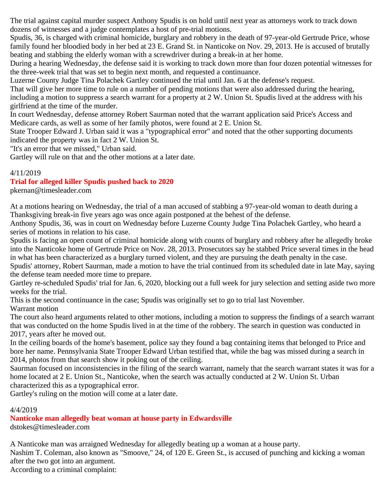The trial against capital murder suspect Anthony Spudis is on hold until next year as attorneys work to track down dozens of witnesses and a judge contemplates a host of pre-trial motions.

Spudis, 36, is charged with criminal homicide, burglary and robbery in the death of 97-year-old Gertrude Price, whose family found her bloodied body in her bed at 23 E. Grand St. in Nanticoke on Nov. 29, 2013. He is accused of brutally beating and stabbing the elderly woman with a screwdriver during a break-in at her home.

During a hearing Wednesday, the defense said it is working to track down more than four dozen potential witnesses for the three-week trial that was set to begin next month, and requested a continuance.

Luzerne County Judge Tina Polachek Gartley continued the trial until Jan. 6 at the defense's request.

That will give her more time to rule on a number of pending motions that were also addressed during the hearing, including a motion to suppress a search warrant for a property at 2 W. Union St. Spudis lived at the address with his girlfriend at the time of the murder.

In court Wednesday, defense attorney Robert Saurman noted that the warrant application said Price's Access and Medicare cards, as well as some of her family photos, were found at 2 E. Union St.

State Trooper Edward J. Urban said it was a "typographical error" and noted that the other supporting documents indicated the property was in fact 2 W. Union St.

"It's an error that we missed," Urban said.

Gartley will rule on that and the other motions at a later date.

### 4/11/2019

### **Trial for alleged killer Spudis pushed back to 2020**

pkernan@timesleader.com

At a motions hearing on Wednesday, the trial of a man accused of stabbing a 97-year-old woman to death during a Thanksgiving break-in five years ago was once again postponed at the behest of the defense.

Anthony Spudis, 36, was in court on Wednesday before Luzerne County Judge Tina Polachek Gartley, who heard a series of motions in relation to his case.

Spudis is facing an open count of criminal homicide along with counts of burglary and robbery after he allegedly broke into the Nanticoke home of Gertrude Price on Nov. 28, 2013. Prosecutors say he stabbed Price several times in the head in what has been characterized as a burglary turned violent, and they are pursuing the death penalty in the case.

Spudis' attorney, Robert Saurman, made a motion to have the trial continued from its scheduled date in late May, saying the defense team needed more time to prepare.

Gartley re-scheduled Spudis' trial for Jan. 6, 2020, blocking out a full week for jury selection and setting aside two more weeks for the trial.

This is the second continuance in the case; Spudis was originally set to go to trial last November. Warrant motion

The court also heard arguments related to other motions, including a motion to suppress the findings of a search warrant that was conducted on the home Spudis lived in at the time of the robbery. The search in question was conducted in 2017, years after he moved out.

In the ceiling boards of the home's basement, police say they found a bag containing items that belonged to Price and bore her name. Pennsylvania State Trooper Edward Urban testified that, while the bag was missed during a search in 2014, photos from that search show it poking out of the ceiling.

Saurman focused on inconsistencies in the filing of the search warrant, namely that the search warrant states it was for a home located at 2 E. Union St., Nanticoke, when the search was actually conducted at 2 W. Union St. Urban characterized this as a typographical error.

Gartley's ruling on the motion will come at a later date.

### 4/4/2019

**Nanticoke man allegedly beat woman at house party in Edwardsville**

dstokes@timesleader.com

A Nanticoke man was arraigned Wednesday for allegedly beating up a woman at a house party.

Nashim T. Coleman, also known as "Smoove," 24, of 120 E. Green St., is accused of punching and kicking a woman after the two got into an argument.

According to a criminal complaint: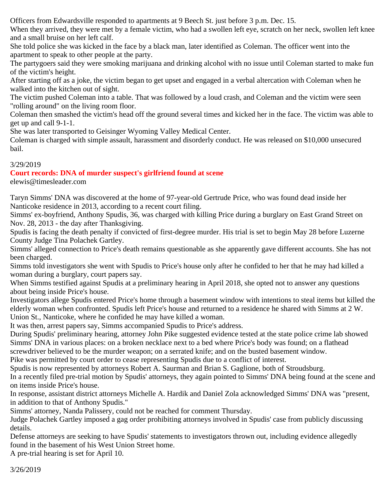Officers from Edwardsville responded to apartments at 9 Beech St. just before 3 p.m. Dec. 15.

When they arrived, they were met by a female victim, who had a swollen left eye, scratch on her neck, swollen left knee and a small bruise on her left calf.

She told police she was kicked in the face by a black man, later identified as Coleman. The officer went into the apartment to speak to other people at the party.

The partygoers said they were smoking marijuana and drinking alcohol with no issue until Coleman started to make fun of the victim's height.

After starting off as a joke, the victim began to get upset and engaged in a verbal altercation with Coleman when he walked into the kitchen out of sight.

The victim pushed Coleman into a table. That was followed by a loud crash, and Coleman and the victim were seen "rolling around" on the living room floor.

Coleman then smashed the victim's head off the ground several times and kicked her in the face. The victim was able to get up and call 9-1-1.

She was later transported to Geisinger Wyoming Valley Medical Center.

Coleman is charged with simple assault, harassment and disorderly conduct. He was released on \$10,000 unsecured bail.

### 3/29/2019

## **Court records: DNA of murder suspect's girlfriend found at scene**

elewis@timesleader.com

Taryn Simms' DNA was discovered at the home of 97-year-old Gertrude Price, who was found dead inside her Nanticoke residence in 2013, according to a recent court filing.

Simms' ex-boyfriend, Anthony Spudis, 36, was charged with killing Price during a burglary on East Grand Street on Nov. 28, 2013 - the day after Thanksgiving.

Spudis is facing the death penalty if convicted of first-degree murder. His trial is set to begin May 28 before Luzerne County Judge Tina Polachek Gartley.

Simms' alleged connection to Price's death remains questionable as she apparently gave different accounts. She has not been charged.

Simms told investigators she went with Spudis to Price's house only after he confided to her that he may had killed a woman during a burglary, court papers say.

When Simms testified against Spudis at a preliminary hearing in April 2018, she opted not to answer any questions about being inside Price's house.

Investigators allege Spudis entered Price's home through a basement window with intentions to steal items but killed the elderly woman when confronted. Spudis left Price's house and returned to a residence he shared with Simms at 2 W. Union St., Nanticoke, where he confided he may have killed a woman.

It was then, arrest papers say, Simms accompanied Spudis to Price's address.

During Spudis' preliminary hearing, attorney John Pike suggested evidence tested at the state police crime lab showed Simms' DNA in various places: on a broken necklace next to a bed where Price's body was found; on a flathead screwdriver believed to be the murder weapon; on a serrated knife; and on the busted basement window.

Pike was permitted by court order to cease representing Spudis due to a conflict of interest.

Spudis is now represented by attorneys Robert A. Saurman and Brian S. Gaglione, both of Stroudsburg.

In a recently filed pre-trial motion by Spudis' attorneys, they again pointed to Simms' DNA being found at the scene and on items inside Price's house.

In response, assistant district attorneys Michelle A. Hardik and Daniel Zola acknowledged Simms' DNA was "present, in addition to that of Anthony Spudis."

Simms' attorney, Nanda Palissery, could not be reached for comment Thursday.

Judge Polachek Gartley imposed a gag order prohibiting attorneys involved in Spudis' case from publicly discussing details.

Defense attorneys are seeking to have Spudis' statements to investigators thrown out, including evidence allegedly found in the basement of his West Union Street home.

A pre-trial hearing is set for April 10.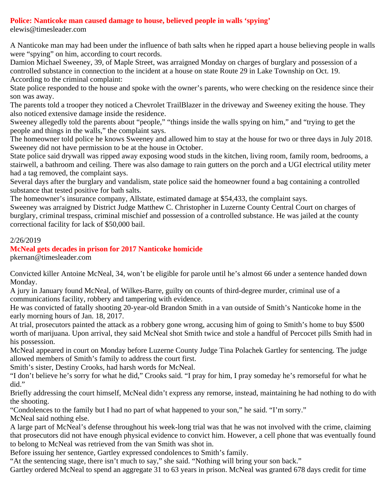## **Police: Nanticoke man caused damage to house, believed people in walls 'spying'**

elewis@timesleader.com

A Nanticoke man may had been under the influence of bath salts when he ripped apart a house believing people in walls were "spying" on him, according to court records.

Damion Michael Sweeney, 39, of Maple Street, was arraigned Monday on charges of burglary and possession of a controlled substance in connection to the incident at a house on state Route 29 in Lake Township on Oct. 19. According to the criminal complaint:

State police responded to the house and spoke with the owner's parents, who were checking on the residence since their son was away.

The parents told a trooper they noticed a Chevrolet TrailBlazer in the driveway and Sweeney exiting the house. They also noticed extensive damage inside the residence.

Sweeney allegedly told the parents about "people," "things inside the walls spying on him," and "trying to get the people and things in the walls," the complaint says.

The homeowner told police he knows Sweeney and allowed him to stay at the house for two or three days in July 2018. Sweeney did not have permission to be at the house in October.

State police said drywall was ripped away exposing wood studs in the kitchen, living room, family room, bedrooms, a stairwell, a bathroom and ceiling. There was also damage to rain gutters on the porch and a UGI electrical utility meter had a tag removed, the complaint says.

Several days after the burglary and vandalism, state police said the homeowner found a bag containing a controlled substance that tested positive for bath salts.

The homeowner's insurance company, Allstate, estimated damage at \$54,433, the complaint says.

Sweeney was arraigned by District Judge Matthew C. Christopher in Luzerne County Central Court on charges of burglary, criminal trespass, criminal mischief and possession of a controlled substance. He was jailed at the county correctional facility for lack of \$50,000 bail.

### 2/26/2019

## **McNeal gets decades in prison for 2017 Nanticoke homicide**

pkernan@timesleader.com

Convicted killer Antoine McNeal, 34, won't be eligible for parole until he's almost 66 under a sentence handed down Monday.

A jury in January found McNeal, of Wilkes-Barre, guilty on counts of third-degree murder, criminal use of a communications facility, robbery and tampering with evidence.

He was convicted of fatally shooting 20-year-old Brandon Smith in a van outside of Smith's Nanticoke home in the early morning hours of Jan. 18, 2017.

At trial, prosecutors painted the attack as a robbery gone wrong, accusing him of going to Smith's home to buy \$500 worth of marijuana. Upon arrival, they said McNeal shot Smith twice and stole a handful of Percocet pills Smith had in his possession.

McNeal appeared in court on Monday before Luzerne County Judge Tina Polachek Gartley for sentencing. The judge allowed members of Smith's family to address the court first.

Smith's sister, Destiny Crooks, had harsh words for McNeal.

"I don't believe he's sorry for what he did," Crooks said. "I pray for him, I pray someday he's remorseful for what he did."

Briefly addressing the court himself, McNeal didn't express any remorse, instead, maintaining he had nothing to do with the shooting.

"Condolences to the family but I had no part of what happened to your son," he said. "I'm sorry."

McNeal said nothing else.

A large part of McNeal's defense throughout his week-long trial was that he was not involved with the crime, claiming that prosecutors did not have enough physical evidence to convict him. However, a cell phone that was eventually found to belong to McNeal was retrieved from the van Smith was shot in.

Before issuing her sentence, Gartley expressed condolences to Smith's family.

"At the sentencing stage, there isn't much to say," she said. "Nothing will bring your son back."

Gartley ordered McNeal to spend an aggregate 31 to 63 years in prison. McNeal was granted 678 days credit for time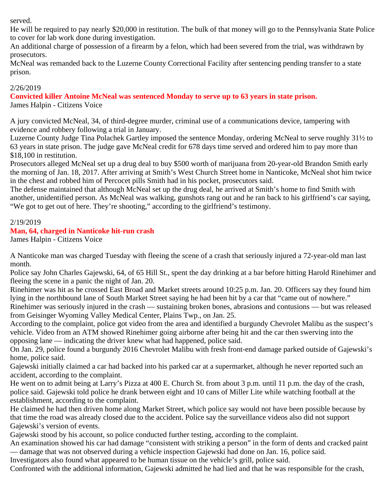served.

He will be required to pay nearly \$20,000 in restitution. The bulk of that money will go to the Pennsylvania State Police to cover for lab work done during investigation.

An additional charge of possession of a firearm by a felon, which had been severed from the trial, was withdrawn by prosecutors.

McNeal was remanded back to the Luzerne County Correctional Facility after sentencing pending transfer to a state prison.

### 2/26/2019

**Convicted killer Antoine McNeal was sentenced Monday to serve up to 63 years in state prison.** James Halpin - Citizens Voice

A jury convicted McNeal, 34, of third-degree murder, criminal use of a communications device, tampering with evidence and robbery following a trial in January.

Luzerne County Judge Tina Polachek Gartley imposed the sentence Monday, ordering McNeal to serve roughly 31½ to 63 years in state prison. The judge gave McNeal credit for 678 days time served and ordered him to pay more than \$18,100 in restitution.

Prosecutors alleged McNeal set up a drug deal to buy \$500 worth of marijuana from 20-year-old Brandon Smith early the morning of Jan. 18, 2017. After arriving at Smith's West Church Street home in Nanticoke, McNeal shot him twice in the chest and robbed him of Percocet pills Smith had in his pocket, prosecutors said.

The defense maintained that although McNeal set up the drug deal, he arrived at Smith's home to find Smith with another, unidentified person. As McNeal was walking, gunshots rang out and he ran back to his girlfriend's car saying, "We got to get out of here. They're shooting," according to the girlfriend's testimony.

### 2/19/2019

### **Man, 64, charged in Nanticoke hit-run crash**

James Halpin - Citizens Voice

A Nanticoke man was charged Tuesday with fleeing the scene of a crash that seriously injured a 72-year-old man last month.

Police say John Charles Gajewski, 64, of 65 Hill St., spent the day drinking at a bar before hitting Harold Rinehimer and fleeing the scene in a panic the night of Jan. 20.

Rinehimer was hit as he crossed East Broad and Market streets around 10:25 p.m. Jan. 20. Officers say they found him lying in the northbound lane of South Market Street saying he had been hit by a car that "came out of nowhere."

Rinehimer was seriously injured in the crash — sustaining broken bones, abrasions and contusions — but was released from Geisinger Wyoming Valley Medical Center, Plains Twp., on Jan. 25.

According to the complaint, police got video from the area and identified a burgundy Chevrolet Malibu as the suspect's vehicle. Video from an ATM showed Rinehimer going airborne after being hit and the car then swerving into the opposing lane — indicating the driver knew what had happened, police said.

On Jan. 29, police found a burgundy 2016 Chevrolet Malibu with fresh front-end damage parked outside of Gajewski's home, police said.

Gajewski initially claimed a car had backed into his parked car at a supermarket, although he never reported such an accident, according to the complaint.

He went on to admit being at Larry's Pizza at 400 E. Church St. from about 3 p.m. until 11 p.m. the day of the crash, police said. Gajewski told police he drank between eight and 10 cans of Miller Lite while watching football at the establishment, according to the complaint.

He claimed he had then driven home along Market Street, which police say would not have been possible because by that time the road was already closed due to the accident. Police say the surveillance videos also did not support Gajewski's version of events.

Gajewski stood by his account, so police conducted further testing, according to the complaint.

An examination showed his car had damage "consistent with striking a person" in the form of dents and cracked paint — damage that was not observed during a vehicle inspection Gajewski had done on Jan. 16, police said.

Investigators also found what appeared to be human tissue on the vehicle's grill, police said.

Confronted with the additional information, Gajewski admitted he had lied and that he was responsible for the crash,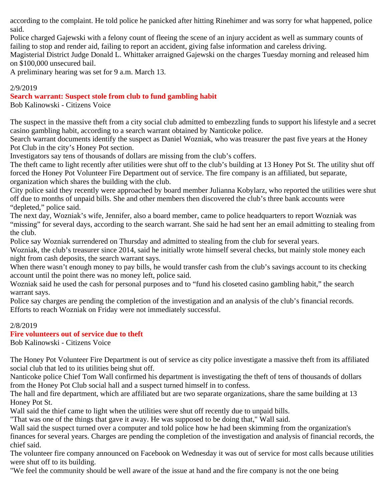according to the complaint. He told police he panicked after hitting Rinehimer and was sorry for what happened, police said.

Police charged Gajewski with a felony count of fleeing the scene of an injury accident as well as summary counts of failing to stop and render aid, failing to report an accident, giving false information and careless driving.

Magisterial District Judge Donald L. Whittaker arraigned Gajewski on the charges Tuesday morning and released him on \$100,000 unsecured bail.

A preliminary hearing was set for 9 a.m. March 13.

### 2/9/2019

## **Search warrant: Suspect stole from club to fund gambling habit**

Bob Kalinowski - Citizens Voice

The suspect in the massive theft from a city social club admitted to embezzling funds to support his lifestyle and a secret casino gambling habit, according to a search warrant obtained by Nanticoke police.

Search warrant documents identify the suspect as Daniel Wozniak, who was treasurer the past five years at the Honey Pot Club in the city's Honey Pot section.

Investigators say tens of thousands of dollars are missing from the club's coffers.

The theft came to light recently after utilities were shut off to the club's building at 13 Honey Pot St. The utility shut off forced the Honey Pot Volunteer Fire Department out of service. The fire company is an affiliated, but separate, organization which shares the building with the club.

City police said they recently were approached by board member Julianna Kobylarz, who reported the utilities were shut off due to months of unpaid bills. She and other members then discovered the club's three bank accounts were "depleted," police said.

The next day, Wozniak's wife, Jennifer, also a board member, came to police headquarters to report Wozniak was "missing" for several days, according to the search warrant. She said he had sent her an email admitting to stealing from the club.

Police say Wozniak surrendered on Thursday and admitted to stealing from the club for several years.

Wozniak, the club's treasurer since 2014, said he initially wrote himself several checks, but mainly stole money each night from cash deposits, the search warrant says.

When there wasn't enough money to pay bills, he would transfer cash from the club's savings account to its checking account until the point there was no money left, police said.

Wozniak said he used the cash for personal purposes and to "fund his closeted casino gambling habit," the search warrant says.

Police say charges are pending the completion of the investigation and an analysis of the club's financial records. Efforts to reach Wozniak on Friday were not immediately successful.

### 2/8/2019

### **Fire volunteers out of service due to theft**

Bob Kalinowski - Citizens Voice

The Honey Pot Volunteer Fire Department is out of service as city police investigate a massive theft from its affiliated social club that led to its utilities being shut off.

Nanticoke police Chief Tom Wall confirmed his department is investigating the theft of tens of thousands of dollars from the Honey Pot Club social hall and a suspect turned himself in to confess.

The hall and fire department, which are affiliated but are two separate organizations, share the same building at 13 Honey Pot St.

Wall said the thief came to light when the utilities were shut off recently due to unpaid bills.

"That was one of the things that gave it away. He was supposed to be doing that," Wall said.

Wall said the suspect turned over a computer and told police how he had been skimming from the organization's

finances for several years. Charges are pending the completion of the investigation and analysis of financial records, the chief said.

The volunteer fire company announced on Facebook on Wednesday it was out of service for most calls because utilities were shut off to its building.

"We feel the community should be well aware of the issue at hand and the fire company is not the one being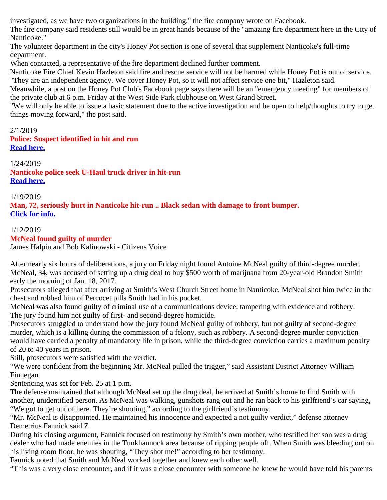investigated, as we have two organizations in the building," the fire company wrote on Facebook.

The fire company said residents still would be in great hands because of the "amazing fire department here in the City of Nanticoke."

The volunteer department in the city's Honey Pot section is one of several that supplement Nanticoke's full-time department.

When contacted, a representative of the fire department declined further comment.

Nanticoke Fire Chief Kevin Hazleton said fire and rescue service will not be harmed while Honey Pot is out of service. "They are an independent agency. We cover Honey Pot, so it will not affect service one bit," Hazleton said.

Meanwhile, a post on the Honey Pot Club's Facebook page says there will be an "emergency meeting" for members of the private club at 6 p.m. Friday at the West Side Park clubhouse on West Grand Street.

"We will only be able to issue a basic statement due to the active investigation and be open to help/thoughts to try to get things moving forward," the post said.

### 2/1/2019 **Police: Suspect identified in hit and run [Read here.](http://nanticokecity.com/2019%20police%20reports/confession.pdf)**

1/24/2019 **Nanticoke police seek U-Haul truck driver in hit-run [Read here.](http://nanticokecity.com/2019%20police%20reports/uhaulpdf.pdf)**

1/19/2019 **Man, 72, seriously hurt in Nanticoke hit-run .. Black sedan with damage to front bumper. [Click for info.](http://nanticokecity.com/2019%20police%20reports/01192019.pdf)**

1/12/2019 **McNeal found guilty of murder**

James Halpin and Bob Kalinowski - Citizens Voice

After nearly six hours of deliberations, a jury on Friday night found Antoine McNeal guilty of third-degree murder. McNeal, 34, was accused of setting up a drug deal to buy \$500 worth of marijuana from 20-year-old Brandon Smith early the morning of Jan. 18, 2017.

Prosecutors alleged that after arriving at Smith's West Church Street home in Nanticoke, McNeal shot him twice in the chest and robbed him of Percocet pills Smith had in his pocket.

McNeal was also found guilty of criminal use of a communications device, tampering with evidence and robbery. The jury found him not guilty of first- and second-degree homicide.

Prosecutors struggled to understand how the jury found McNeal guilty of robbery, but not guilty of second-degree murder, which is a killing during the commission of a felony, such as robbery. A second-degree murder conviction would have carried a penalty of mandatory life in prison, while the third-degree conviction carries a maximum penalty of 20 to 40 years in prison.

Still, prosecutors were satisfied with the verdict.

"We were confident from the beginning Mr. McNeal pulled the trigger," said Assistant District Attorney William Finnegan.

Sentencing was set for Feb. 25 at 1 p.m.

The defense maintained that although McNeal set up the drug deal, he arrived at Smith's home to find Smith with another, unidentified person. As McNeal was walking, gunshots rang out and he ran back to his girlfriend's car saying, "We got to get out of here. They're shooting," according to the girlfriend's testimony.

"Mr. McNeal is disappointed. He maintained his innocence and expected a not guilty verdict," defense attorney Demetrius Fannick said.Z

During his closing argument, Fannick focused on testimony by Smith's own mother, who testified her son was a drug dealer who had made enemies in the Tunkhannock area because of ripping people off. When Smith was bleeding out on his living room floor, he was shouting, "They shot me!" according to her testimony.

Fannick noted that Smith and McNeal worked together and knew each other well.

"This was a very close encounter, and if it was a close encounter with someone he knew he would have told his parents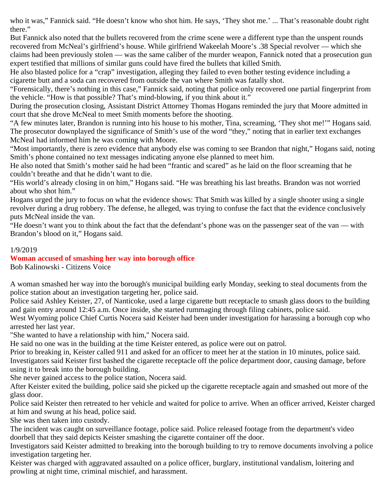who it was," Fannick said. "He doesn't know who shot him. He says, 'They shot me.' ... That's reasonable doubt right there."

But Fannick also noted that the bullets recovered from the crime scene were a different type than the unspent rounds recovered from McNeal's girlfriend's house. While girlfriend Wakeelah Moore's .38 Special revolver — which she claims had been previously stolen — was the same caliber of the murder weapon, Fannick noted that a prosecution gun expert testified that millions of similar guns could have fired the bullets that killed Smith.

He also blasted police for a "crap" investigation, alleging they failed to even bother testing evidence including a cigarette butt and a soda can recovered from outside the van where Smith was fatally shot.

"Forensically, there's nothing in this case," Fannick said, noting that police only recovered one partial fingerprint from the vehicle. "How is that possible? That's mind-blowing, if you think about it."

During the prosecution closing, Assistant District Attorney Thomas Hogans reminded the jury that Moore admitted in court that she drove McNeal to meet Smith moments before the shooting.

"A few minutes later, Brandon is running into his house to his mother, Tina, screaming, 'They shot me!'" Hogans said. The prosecutor downplayed the significance of Smith's use of the word "they," noting that in earlier text exchanges McNeal had informed him he was coming with Moore.

"Most importantly, there is zero evidence that anybody else was coming to see Brandon that night," Hogans said, noting Smith's phone contained no text messages indicating anyone else planned to meet him.

He also noted that Smith's mother said he had been "frantic and scared" as he laid on the floor screaming that he couldn't breathe and that he didn't want to die.

"His world's already closing in on him," Hogans said. "He was breathing his last breaths. Brandon was not worried about who shot him."

Hogans urged the jury to focus on what the evidence shows: That Smith was killed by a single shooter using a single revolver during a drug robbery. The defense, he alleged, was trying to confuse the fact that the evidence conclusively puts McNeal inside the van.

"He doesn't want you to think about the fact that the defendant's phone was on the passenger seat of the van — with Brandon's blood on it," Hogans said.

### 1/9/2019

## **Woman accused of smashing her way into borough office**

Bob Kalinowski - Citizens Voice

A woman smashed her way into the borough's municipal building early Monday, seeking to steal documents from the police station about an investigation targeting her, police said.

Police said Ashley Keister, 27, of Nanticoke, used a large cigarette butt receptacle to smash glass doors to the building and gain entry around 12:45 a.m. Once inside, she started rummaging through filing cabinets, police said.

West Wyoming police Chief Curtis Nocera said Keister had been under investigation for harassing a borough cop who arrested her last year.

"She wanted to have a relationship with him," Nocera said.

He said no one was in the building at the time Keister entered, as police were out on patrol.

Prior to breaking in, Keister called 911 and asked for an officer to meet her at the station in 10 minutes, police said. Investigators said Keister first bashed the cigarette receptacle off the police department door, causing damage, before using it to break into the borough building.

She never gained access to the police station, Nocera said.

After Keister exited the building, police said she picked up the cigarette receptacle again and smashed out more of the glass door.

Police said Keister then retreated to her vehicle and waited for police to arrive. When an officer arrived, Keister charged at him and swung at his head, police said.

She was then taken into custody.

The incident was caught on surveillance footage, police said. Police released footage from the department's video doorbell that they said depicts Keister smashing the cigarette container off the door.

Investigators said Keister admitted to breaking into the borough building to try to remove documents involving a police investigation targeting her.

Keister was charged with aggravated assaulted on a police officer, burglary, institutional vandalism, loitering and prowling at night time, criminal mischief, and harassment.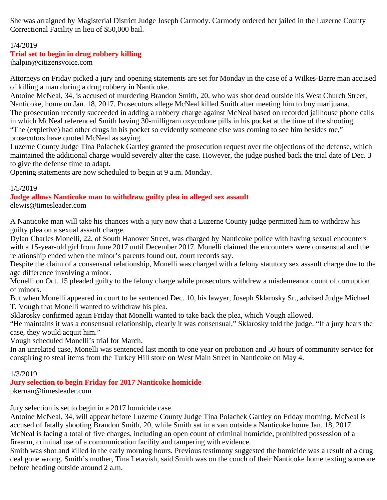She was arraigned by Magisterial District Judge Joseph Carmody. Carmody ordered her jailed in the Luzerne County Correctional Facility in lieu of \$50,000 bail.

### 1/4/2019

## **Trial set to begin in drug robbery killing**

jhalpin@citizensvoice.com

Attorneys on Friday picked a jury and opening statements are set for Monday in the case of a Wilkes-Barre man accused of killing a man during a drug robbery in Nanticoke.

Antoine McNeal, 34, is accused of murdering Brandon Smith, 20, who was shot dead outside his West Church Street, Nanticoke, home on Jan. 18, 2017. Prosecutors allege McNeal killed Smith after meeting him to buy marijuana. The prosecution recently succeeded in adding a robbery charge against McNeal based on recorded jailhouse phone calls in which McNeal referenced Smith having 30-milligram oxycodone pills in his pocket at the time of the shooting. "The (expletive) had other drugs in his pocket so evidently someone else was coming to see him besides me," prosecutors have quoted McNeal as saying.

Luzerne County Judge Tina Polachek Gartley granted the prosecution request over the objections of the defense, which maintained the additional charge would severely alter the case. However, the judge pushed back the trial date of Dec. 3 to give the defense time to adapt.

Opening statements are now scheduled to begin at 9 a.m. Monday.

### 1/5/2019

## **Judge allows Nanticoke man to withdraw guilty plea in alleged sex assault**

elewis@timesleader.com

A Nanticoke man will take his chances with a jury now that a Luzerne County judge permitted him to withdraw his guilty plea on a sexual assault charge.

Dylan Charles Monelli, 22, of South Hanover Street, was charged by Nanticoke police with having sexual encounters with a 15-year-old girl from June 2017 until December 2017. Monelli claimed the encounters were consensual and the relationship ended when the minor's parents found out, court records say.

Despite the claim of a consensual relationship, Monelli was charged with a felony statutory sex assault charge due to the age difference involving a minor.

Monelli on Oct. 15 pleaded guilty to the felony charge while prosecutors withdrew a misdemeanor count of corruption of minors.

But when Monelli appeared in court to be sentenced Dec. 10, his lawyer, Joseph Sklarosky Sr., advised Judge Michael T. Vough that Monelli wanted to withdraw his plea.

Sklarosky confirmed again Friday that Monelli wanted to take back the plea, which Vough allowed.

"He maintains it was a consensual relationship, clearly it was consensual," Sklarosky told the judge. "If a jury hears the case, they would acquit him."

Vough scheduled Monelli's trial for March.

In an unrelated case, Monelli was sentenced last month to one year on probation and 50 hours of community service for conspiring to steal items from the Turkey Hill store on West Main Street in Nanticoke on May 4.

### 1/3/2019

**Jury selection to begin Friday for 2017 Nanticoke homicide**

pkernan@timesleader.com

Jury selection is set to begin in a 2017 homicide case.

Antoine McNeal, 34, will appear before Luzerne County Judge Tina Polachek Gartley on Friday morning. McNeal is accused of fatally shooting Brandon Smith, 20, while Smith sat in a van outside a Nanticoke home Jan. 18, 2017. McNeal is facing a total of five charges, including an open count of criminal homicide, prohibited possession of a firearm, criminal use of a communication facility and tampering with evidence.

Smith was shot and killed in the early morning hours. Previous testimony suggested the homicide was a result of a drug deal gone wrong. Smith's mother, Tina Letavish, said Smith was on the couch of their Nanticoke home texting someone before heading outside around 2 a.m.